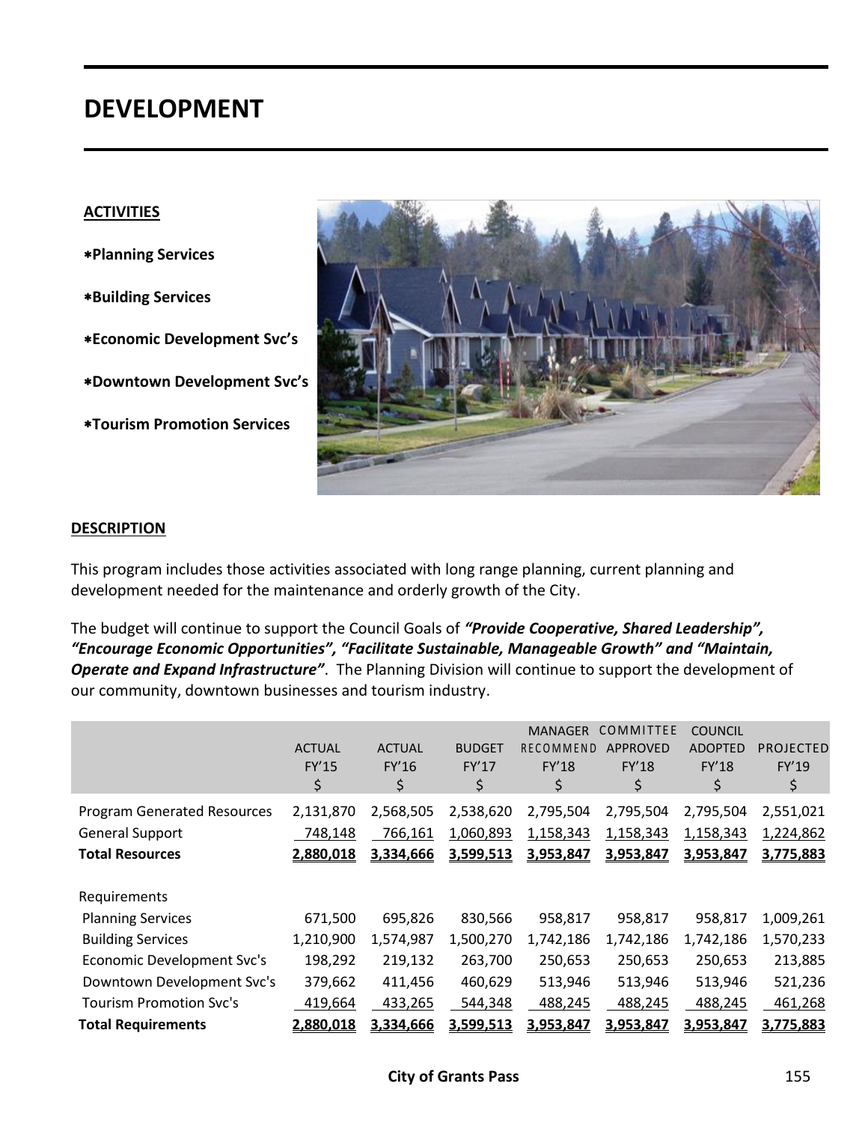# **DEVELOPMENT**

#### **ACTIVITIES**

**Planning Services**

- **Building Services**
- **Economic Development Svc's**
- **Downtown Development Svc's**
- **Tourism Promotion Services**



#### **DESCRIPTION**

This program includes those activities associated with long range planning, current planning and development needed for the maintenance and orderly growth of the City.

The budget will continue to support the Council Goals of *"Provide Cooperative, Shared Leadership", "Encourage Economic Opportunities", "Facilitate Sustainable, Manageable Growth" and "Maintain, Operate and Expand Infrastructure"*. The Planning Division will continue to support the development of our community, downtown businesses and tourism industry.

|                                    | <b>ACTUAL</b><br>FY'15<br>\$ | <b>ACTUAL</b><br>FY'16<br>\$ | <b>BUDGET</b><br>FY'17<br>\$ | <b>MANAGER</b><br>RECOMMEND<br>FY'18<br>\$ | <b>COMMITTEE</b><br><b>APPROVED</b><br>FY'18<br>\$ | <b>COUNCIL</b><br><b>ADOPTED</b><br>FY'18<br>\$ | <b>PROJECTED</b><br><b>FY'19</b><br>\$ |
|------------------------------------|------------------------------|------------------------------|------------------------------|--------------------------------------------|----------------------------------------------------|-------------------------------------------------|----------------------------------------|
| <b>Program Generated Resources</b> | 2,131,870                    | 2,568,505                    | 2,538,620                    | 2,795,504                                  | 2,795,504                                          | 2,795,504                                       | 2,551,021                              |
| <b>General Support</b>             | 748,148                      | 766,161                      | 1,060,893                    | 1,158,343                                  | 1,158,343                                          | 1,158,343                                       | 1,224,862                              |
| <b>Total Resources</b>             | 2,880,018                    | 3,334,666                    | 3,599,513                    | 3,953,847                                  | 3,953,847                                          | 3,953,847                                       | 3,775,883                              |
| Requirements                       |                              |                              |                              |                                            |                                                    |                                                 |                                        |
| <b>Planning Services</b>           | 671,500                      | 695,826                      | 830,566                      | 958,817                                    | 958,817                                            | 958,817                                         | 1,009,261                              |
| <b>Building Services</b>           | 1,210,900                    | 1,574,987                    | 1,500,270                    | 1,742,186                                  | 1,742,186                                          | 1,742,186                                       | 1,570,233                              |
| Economic Development Svc's         | 198,292                      | 219,132                      | 263,700                      | 250,653                                    | 250,653                                            | 250,653                                         | 213,885                                |
| Downtown Development Svc's         | 379,662                      | 411,456                      | 460,629                      | 513,946                                    | 513,946                                            | 513,946                                         | 521,236                                |
| <b>Tourism Promotion Svc's</b>     | 419,664                      | 433,265                      | 544,348                      | 488,245                                    | 488,245                                            | 488,245                                         | 461,268                                |
| <b>Total Requirements</b>          | 2,880,018                    | 3,334,666                    | 3,599,513                    | 3,953,847                                  | 3,953,847                                          | 3,953,847                                       | 3,775,883                              |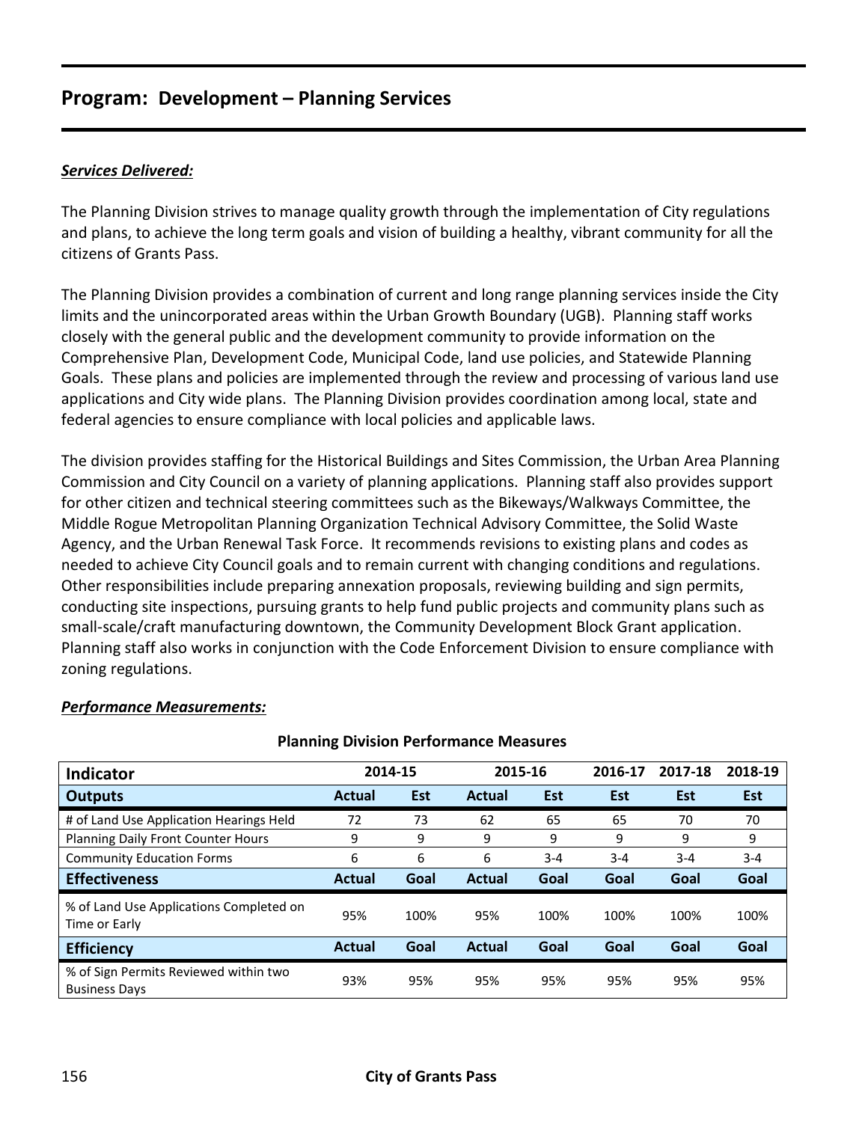### *Services Delivered:*

The Planning Division strives to manage quality growth through the implementation of City regulations and plans, to achieve the long term goals and vision of building a healthy, vibrant community for all the citizens of Grants Pass.

The Planning Division provides a combination of current and long range planning services inside the City limits and the unincorporated areas within the Urban Growth Boundary (UGB). Planning staff works closely with the general public and the development community to provide information on the Comprehensive Plan, Development Code, Municipal Code, land use policies, and Statewide Planning Goals. These plans and policies are implemented through the review and processing of various land use applications and City wide plans. The Planning Division provides coordination among local, state and federal agencies to ensure compliance with local policies and applicable laws.

The division provides staffing for the Historical Buildings and Sites Commission, the Urban Area Planning Commission and City Council on a variety of planning applications. Planning staff also provides support for other citizen and technical steering committees such as the Bikeways/Walkways Committee, the Middle Rogue Metropolitan Planning Organization Technical Advisory Committee, the Solid Waste Agency, and the Urban Renewal Task Force. It recommends revisions to existing plans and codes as needed to achieve City Council goals and to remain current with changing conditions and regulations. Other responsibilities include preparing annexation proposals, reviewing building and sign permits, conducting site inspections, pursuing grants to help fund public projects and community plans such as small-scale/craft manufacturing downtown, the Community Development Block Grant application. Planning staff also works in conjunction with the Code Enforcement Division to ensure compliance with zoning regulations.

| Planning Division Performance Measures                        |               |            |               |            |         |            |            |  |  |  |  |
|---------------------------------------------------------------|---------------|------------|---------------|------------|---------|------------|------------|--|--|--|--|
| <b>Indicator</b>                                              | 2014-15       |            | 2015-16       |            | 2016-17 | 2017-18    | 2018-19    |  |  |  |  |
| <b>Outputs</b>                                                | <b>Actual</b> | <b>Est</b> | <b>Actual</b> | <b>Est</b> | Est     | <b>Est</b> | <b>Est</b> |  |  |  |  |
| # of Land Use Application Hearings Held                       | 72            | 73         | 62            | 65         | 65      | 70         | 70         |  |  |  |  |
| Planning Daily Front Counter Hours                            | 9             | 9          | 9             | 9          | 9       | 9          | 9          |  |  |  |  |
| <b>Community Education Forms</b>                              | 6             | 6          | 6             | $3 - 4$    | $3 - 4$ | $3 - 4$    | $3 - 4$    |  |  |  |  |
| <b>Effectiveness</b>                                          | <b>Actual</b> | Goal       | <b>Actual</b> | Goal       | Goal    | Goal       | Goal       |  |  |  |  |
| % of Land Use Applications Completed on<br>Time or Early      | 95%           | 100%       | 95%           | 100%       | 100%    | 100%       | 100%       |  |  |  |  |
| <b>Efficiency</b>                                             | <b>Actual</b> | Goal       | <b>Actual</b> | Goal       | Goal    | Goal       | Goal       |  |  |  |  |
| % of Sign Permits Reviewed within two<br><b>Business Days</b> | 93%           | 95%        | 95%           | 95%        | 95%     | 95%        | 95%        |  |  |  |  |

**Planning Division Performance Measures**

### *Performance Measurements:*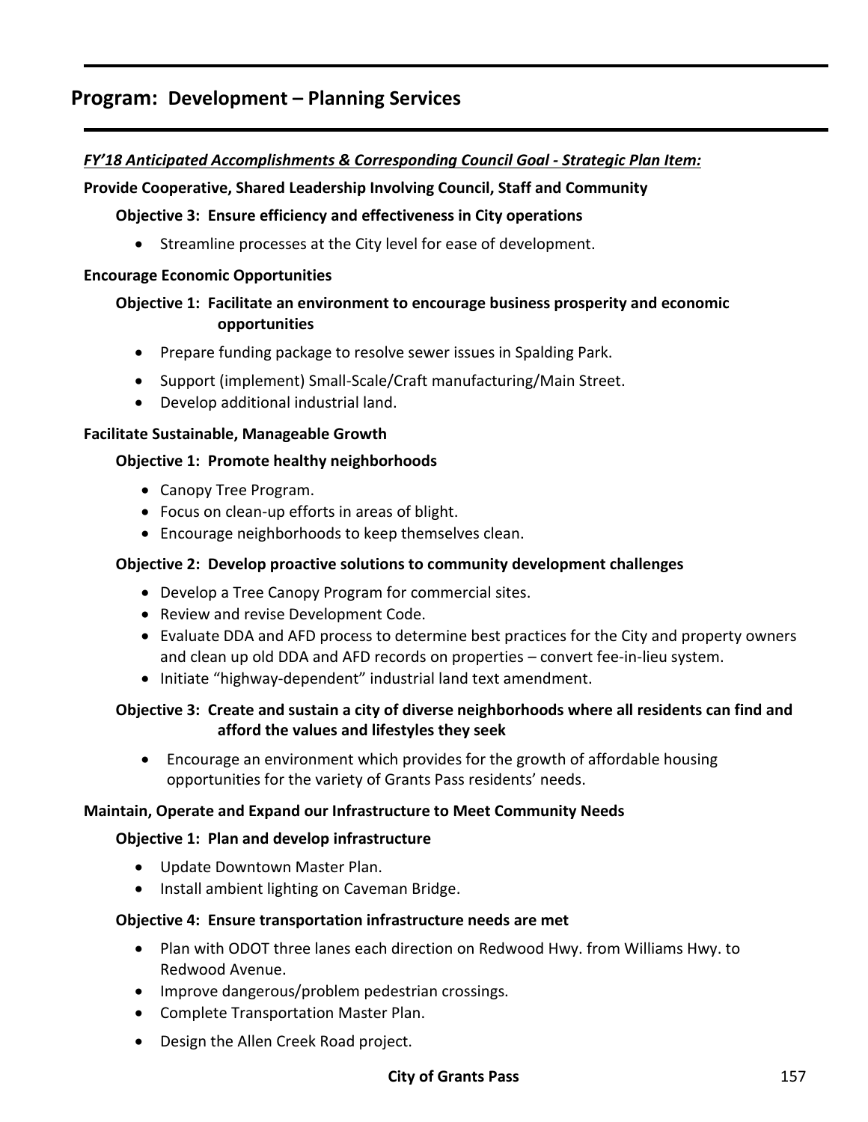### *FY'18 Anticipated Accomplishments & Corresponding Council Goal - Strategic Plan Item:*

### **Provide Cooperative, Shared Leadership Involving Council, Staff and Community**

### **Objective 3: Ensure efficiency and effectiveness in City operations**

• Streamline processes at the City level for ease of development.

#### **Encourage Economic Opportunities**

### **Objective 1: Facilitate an environment to encourage business prosperity and economic opportunities**

- Prepare funding package to resolve sewer issues in Spalding Park.
- Support (implement) Small-Scale/Craft manufacturing/Main Street.
- Develop additional industrial land.

### **Facilitate Sustainable, Manageable Growth**

### **Objective 1: Promote healthy neighborhoods**

- Canopy Tree Program.
- Focus on clean-up efforts in areas of blight.
- Encourage neighborhoods to keep themselves clean.

### **Objective 2: Develop proactive solutions to community development challenges**

- Develop a Tree Canopy Program for commercial sites.
- Review and revise Development Code.
- Evaluate DDA and AFD process to determine best practices for the City and property owners and clean up old DDA and AFD records on properties – convert fee-in-lieu system.
- Initiate "highway-dependent" industrial land text amendment.

### **Objective 3: Create and sustain a city of diverse neighborhoods where all residents can find and afford the values and lifestyles they seek**

 Encourage an environment which provides for the growth of affordable housing opportunities for the variety of Grants Pass residents' needs.

### **Maintain, Operate and Expand our Infrastructure to Meet Community Needs**

### **Objective 1: Plan and develop infrastructure**

- Update Downtown Master Plan.
- Install ambient lighting on Caveman Bridge.

### **Objective 4: Ensure transportation infrastructure needs are met**

- Plan with ODOT three lanes each direction on Redwood Hwy. from Williams Hwy. to Redwood Avenue.
- Improve dangerous/problem pedestrian crossings.
- Complete Transportation Master Plan.
- Design the Allen Creek Road project.

### **City of Grants Pass** 157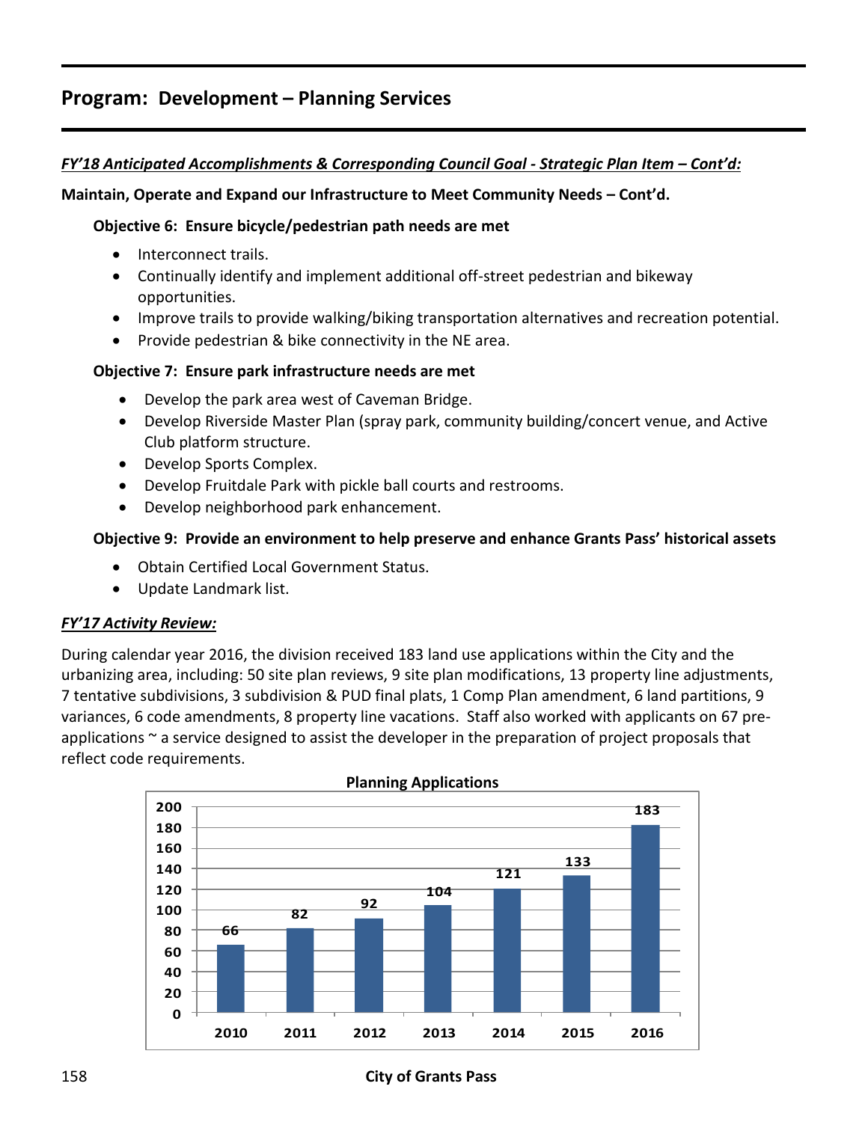### *FY'18 Anticipated Accomplishments & Corresponding Council Goal - Strategic Plan Item – Cont'd:*

### **Maintain, Operate and Expand our Infrastructure to Meet Community Needs – Cont'd.**

### **Objective 6: Ensure bicycle/pedestrian path needs are met**

- Interconnect trails.
- Continually identify and implement additional off-street pedestrian and bikeway opportunities.
- Improve trails to provide walking/biking transportation alternatives and recreation potential.
- Provide pedestrian & bike connectivity in the NE area.

### **Objective 7: Ensure park infrastructure needs are met**

- Develop the park area west of Caveman Bridge.
- Develop Riverside Master Plan (spray park, community building/concert venue, and Active Club platform structure.
- Develop Sports Complex.
- Develop Fruitdale Park with pickle ball courts and restrooms.
- Develop neighborhood park enhancement.

### **Objective 9: Provide an environment to help preserve and enhance Grants Pass' historical assets**

- Obtain Certified Local Government Status.
- Update Landmark list.

### *FY'17 Activity Review:*

During calendar year 2016, the division received 183 land use applications within the City and the urbanizing area, including: 50 site plan reviews, 9 site plan modifications, 13 property line adjustments, 7 tentative subdivisions, 3 subdivision & PUD final plats, 1 Comp Plan amendment, 6 land partitions, 9 variances, 6 code amendments, 8 property line vacations. Staff also worked with applicants on 67 preapplications ~ a service designed to assist the developer in the preparation of project proposals that reflect code requirements.

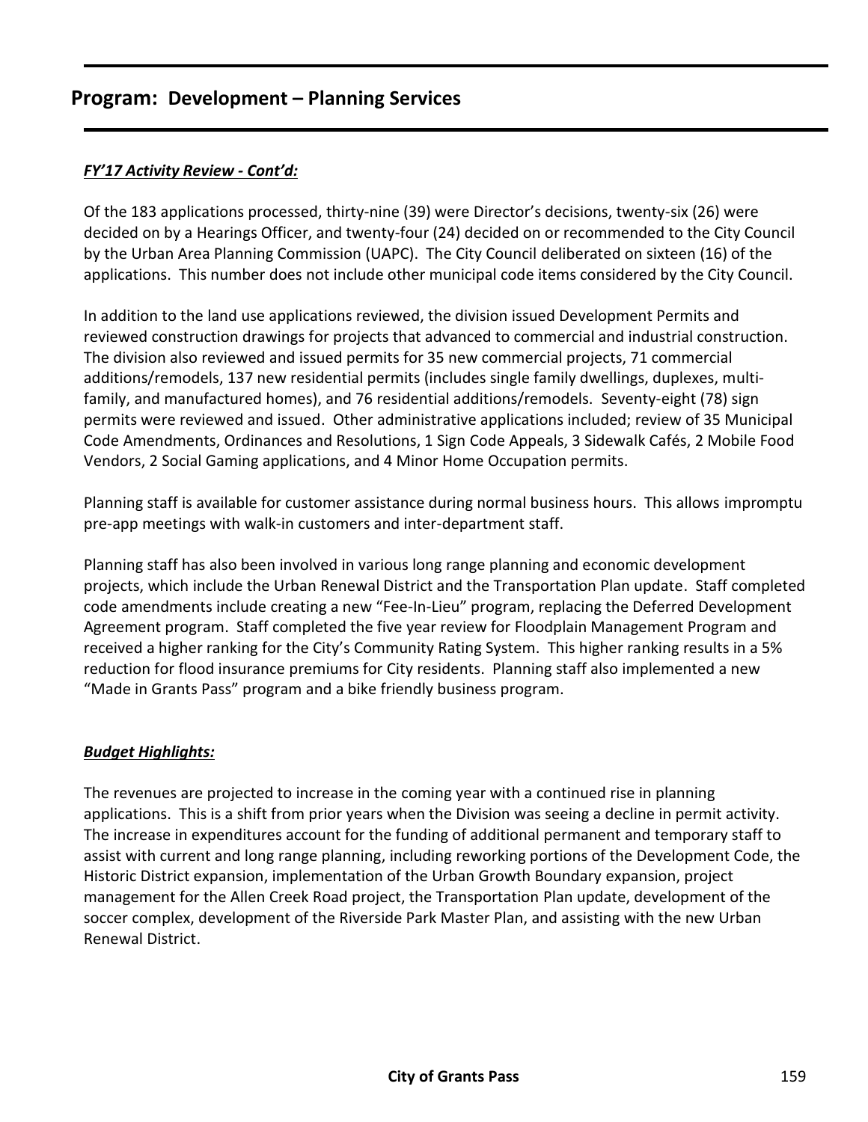### *FY'17 Activity Review - Cont'd:*

Of the 183 applications processed, thirty-nine (39) were Director's decisions, twenty-six (26) were decided on by a Hearings Officer, and twenty-four (24) decided on or recommended to the City Council by the Urban Area Planning Commission (UAPC). The City Council deliberated on sixteen (16) of the applications. This number does not include other municipal code items considered by the City Council.

In addition to the land use applications reviewed, the division issued Development Permits and reviewed construction drawings for projects that advanced to commercial and industrial construction. The division also reviewed and issued permits for 35 new commercial projects, 71 commercial additions/remodels, 137 new residential permits (includes single family dwellings, duplexes, multifamily, and manufactured homes), and 76 residential additions/remodels. Seventy-eight (78) sign permits were reviewed and issued. Other administrative applications included; review of 35 Municipal Code Amendments, Ordinances and Resolutions, 1 Sign Code Appeals, 3 Sidewalk Cafés, 2 Mobile Food Vendors, 2 Social Gaming applications, and 4 Minor Home Occupation permits.

Planning staff is available for customer assistance during normal business hours. This allows impromptu pre-app meetings with walk-in customers and inter-department staff.

Planning staff has also been involved in various long range planning and economic development projects, which include the Urban Renewal District and the Transportation Plan update. Staff completed code amendments include creating a new "Fee-In-Lieu" program, replacing the Deferred Development Agreement program. Staff completed the five year review for Floodplain Management Program and received a higher ranking for the City's Community Rating System. This higher ranking results in a 5% reduction for flood insurance premiums for City residents. Planning staff also implemented a new "Made in Grants Pass" program and a bike friendly business program.

### *Budget Highlights:*

The revenues are projected to increase in the coming year with a continued rise in planning applications. This is a shift from prior years when the Division was seeing a decline in permit activity. The increase in expenditures account for the funding of additional permanent and temporary staff to assist with current and long range planning, including reworking portions of the Development Code, the Historic District expansion, implementation of the Urban Growth Boundary expansion, project management for the Allen Creek Road project, the Transportation Plan update, development of the soccer complex, development of the Riverside Park Master Plan, and assisting with the new Urban Renewal District.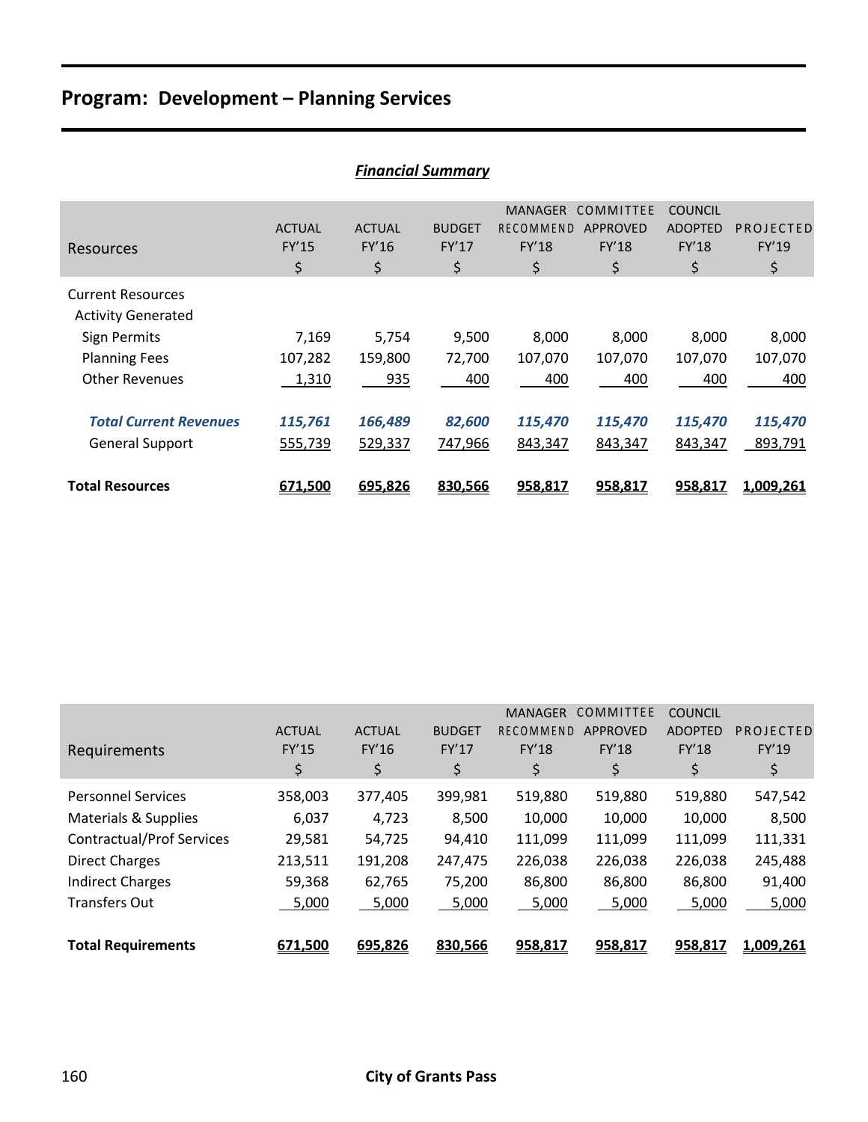|                               | <b>Financial Summary</b> |               |               |                |                 |                |           |  |  |  |  |  |
|-------------------------------|--------------------------|---------------|---------------|----------------|-----------------|----------------|-----------|--|--|--|--|--|
|                               |                          |               |               | <b>MANAGER</b> | COMMITTEE       | <b>COUNCIL</b> |           |  |  |  |  |  |
|                               | <b>ACTUAL</b>            | <b>ACTUAL</b> | <b>BUDGET</b> | RECOMMEND      | <b>APPROVED</b> | <b>ADOPTED</b> | PROJECTED |  |  |  |  |  |
| Resources                     | FY'15                    | FY'16         | FY'17         | <b>FY'18</b>   | <b>FY'18</b>    | FY'18          | FY'19     |  |  |  |  |  |
|                               | \$                       | \$            | \$            | \$             | \$              | \$             | \$        |  |  |  |  |  |
| <b>Current Resources</b>      |                          |               |               |                |                 |                |           |  |  |  |  |  |
| <b>Activity Generated</b>     |                          |               |               |                |                 |                |           |  |  |  |  |  |
| <b>Sign Permits</b>           | 7,169                    | 5,754         | 9,500         | 8,000          | 8,000           | 8,000          | 8,000     |  |  |  |  |  |
| <b>Planning Fees</b>          | 107,282                  | 159,800       | 72,700        | 107,070        | 107,070         | 107,070        | 107,070   |  |  |  |  |  |
| <b>Other Revenues</b>         | 1,310                    | 935           | 400           | 400            | 400             | 400            | 400       |  |  |  |  |  |
|                               |                          |               |               |                |                 |                |           |  |  |  |  |  |
| <b>Total Current Revenues</b> | 115,761                  | 166,489       | 82,600        | 115,470        | 115,470         | 115,470        | 115,470   |  |  |  |  |  |
| General Support               | 555,739                  | 529,337       | 747,966       | 843,347        | 843,347         | 843,347        | 893,791   |  |  |  |  |  |
|                               |                          |               |               |                |                 |                |           |  |  |  |  |  |
| <b>Total Resources</b>        | 671,500                  | 695,826       | 830,566       | 958,817        | 958,817         | 958,817        | 1,009,261 |  |  |  |  |  |

| <b>Financial Summary</b> |  |  |
|--------------------------|--|--|
|                          |  |  |

| Requirements                     | <b>ACTUAL</b><br><b>FY'15</b> | <b>ACTUAL</b><br>FY'16 | <b>BUDGET</b><br>FY'17 | <b>MANAGER</b><br>RECOMMEND<br><b>FY'18</b> | COMMITTEE<br><b>APPROVED</b><br><b>FY'18</b> | <b>COUNCIL</b><br><b>ADOPTED</b><br><b>FY'18</b> | PROJECTED<br>FY'19 |
|----------------------------------|-------------------------------|------------------------|------------------------|---------------------------------------------|----------------------------------------------|--------------------------------------------------|--------------------|
|                                  | \$                            | \$                     | \$                     | \$                                          | \$                                           | \$                                               | \$                 |
| <b>Personnel Services</b>        | 358,003                       | 377,405                | 399,981                | 519,880                                     | 519,880                                      | 519,880                                          | 547,542            |
| Materials & Supplies             | 6,037                         | 4,723                  | 8,500                  | 10,000                                      | 10,000                                       | 10,000                                           | 8,500              |
| <b>Contractual/Prof Services</b> | 29,581                        | 54,725                 | 94,410                 | 111,099                                     | 111,099                                      | 111,099                                          | 111,331            |
| <b>Direct Charges</b>            | 213,511                       | 191,208                | 247,475                | 226,038                                     | 226,038                                      | 226,038                                          | 245,488            |
| <b>Indirect Charges</b>          | 59,368                        | 62,765                 | 75,200                 | 86,800                                      | 86,800                                       | 86,800                                           | 91,400             |
| <b>Transfers Out</b>             | 5,000                         | 5,000                  | 5,000                  | 5,000                                       | 5,000                                        | 5,000                                            | 5,000              |
| <b>Total Requirements</b>        | 671,500                       | 695,826                | 830,566                | 958,817                                     | 958,817                                      | 958,817                                          | 1,009,261          |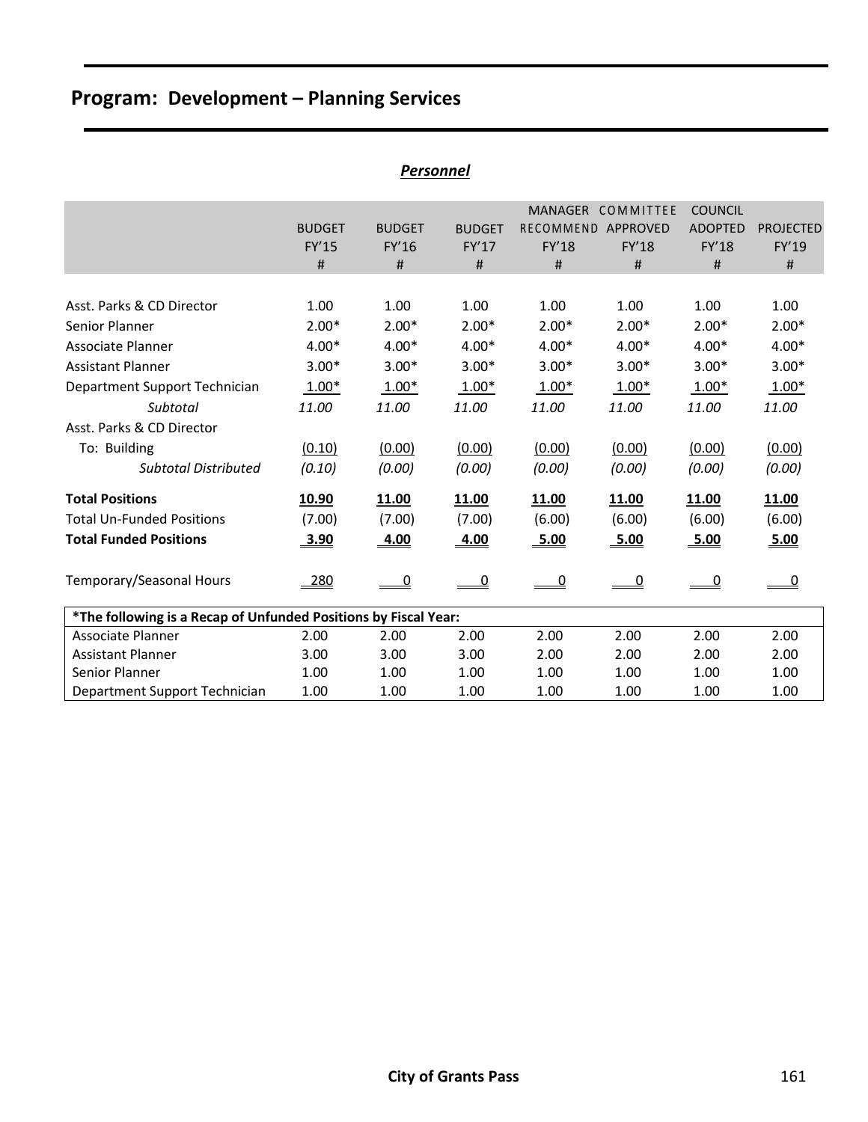| Personnel                                                       |               |                |                |                    |                   |                |                  |  |  |  |  |
|-----------------------------------------------------------------|---------------|----------------|----------------|--------------------|-------------------|----------------|------------------|--|--|--|--|
|                                                                 |               |                |                |                    | MANAGER COMMITTEE | <b>COUNCIL</b> |                  |  |  |  |  |
|                                                                 | <b>BUDGET</b> | <b>BUDGET</b>  | <b>BUDGET</b>  | RECOMMEND APPROVED |                   | <b>ADOPTED</b> | <b>PROJECTED</b> |  |  |  |  |
|                                                                 | FY'15         | FY'16          | FY'17          | FY'18              | FY'18             | <b>FY'18</b>   | FY'19            |  |  |  |  |
|                                                                 | #             | #              | #              | #                  | #                 | #              | #                |  |  |  |  |
|                                                                 |               |                |                |                    |                   |                |                  |  |  |  |  |
| Asst. Parks & CD Director                                       | 1.00          | 1.00           | 1.00           | 1.00               | 1.00              | 1.00           | 1.00             |  |  |  |  |
| Senior Planner                                                  | $2.00*$       | $2.00*$        | $2.00*$        | $2.00*$            | $2.00*$           | $2.00*$        | $2.00*$          |  |  |  |  |
| Associate Planner                                               | $4.00*$       | $4.00*$        | $4.00*$        | $4.00*$            | $4.00*$           | $4.00*$        | $4.00*$          |  |  |  |  |
| <b>Assistant Planner</b>                                        | $3.00*$       | $3.00*$        | $3.00*$        | $3.00*$            | $3.00*$           | $3.00*$        | $3.00*$          |  |  |  |  |
| Department Support Technician                                   | $1.00*$       | $1.00*$        | $1.00*$        | $1.00*$            | $1.00*$           | $1.00*$        | $1.00*$          |  |  |  |  |
| Subtotal                                                        | 11.00         | 11.00          | 11.00          | 11.00              | 11.00             | 11.00          | 11.00            |  |  |  |  |
| Asst. Parks & CD Director                                       |               |                |                |                    |                   |                |                  |  |  |  |  |
| To: Building                                                    | (0.10)        | (0.00)         | (0.00)         | (0.00)             | (0.00)            | (0.00)         | (0.00)           |  |  |  |  |
| <b>Subtotal Distributed</b>                                     | (0.10)        | (0.00)         | (0.00)         | (0.00)             | (0.00)            | (0.00)         | (0.00)           |  |  |  |  |
| <b>Total Positions</b>                                          | 10.90         | 11.00          | 11.00          | 11.00              | <b>11.00</b>      | 11.00          | 11.00            |  |  |  |  |
| <b>Total Un-Funded Positions</b>                                | (7.00)        | (7.00)         | (7.00)         | (6.00)             | (6.00)            | (6.00)         | (6.00)           |  |  |  |  |
| <b>Total Funded Positions</b>                                   | 3.90          | 4.00           | 4.00           | 5.00               | 5.00              | 5.00           | 5.00             |  |  |  |  |
| Temporary/Seasonal Hours                                        | 280           | $\overline{0}$ | $\overline{0}$ | $\overline{0}$     | $\overline{0}$    | $\overline{0}$ | $\overline{0}$   |  |  |  |  |
| *The following is a Recap of Unfunded Positions by Fiscal Year: |               |                |                |                    |                   |                |                  |  |  |  |  |
| Associate Planner                                               | 2.00          | 2.00           | 2.00           | 2.00               | 2.00              | 2.00           | 2.00             |  |  |  |  |
| <b>Assistant Planner</b>                                        | 3.00          | 3.00           | 3.00           | 2.00               | 2.00              | 2.00           | 2.00             |  |  |  |  |
| Senior Planner                                                  | 1.00          | 1.00           | 1.00           | 1.00               | 1.00              | 1.00           | 1.00             |  |  |  |  |
| Department Support Technician                                   | 1.00          | 1.00           | 1.00           | 1.00               | 1.00              | 1.00           | 1.00             |  |  |  |  |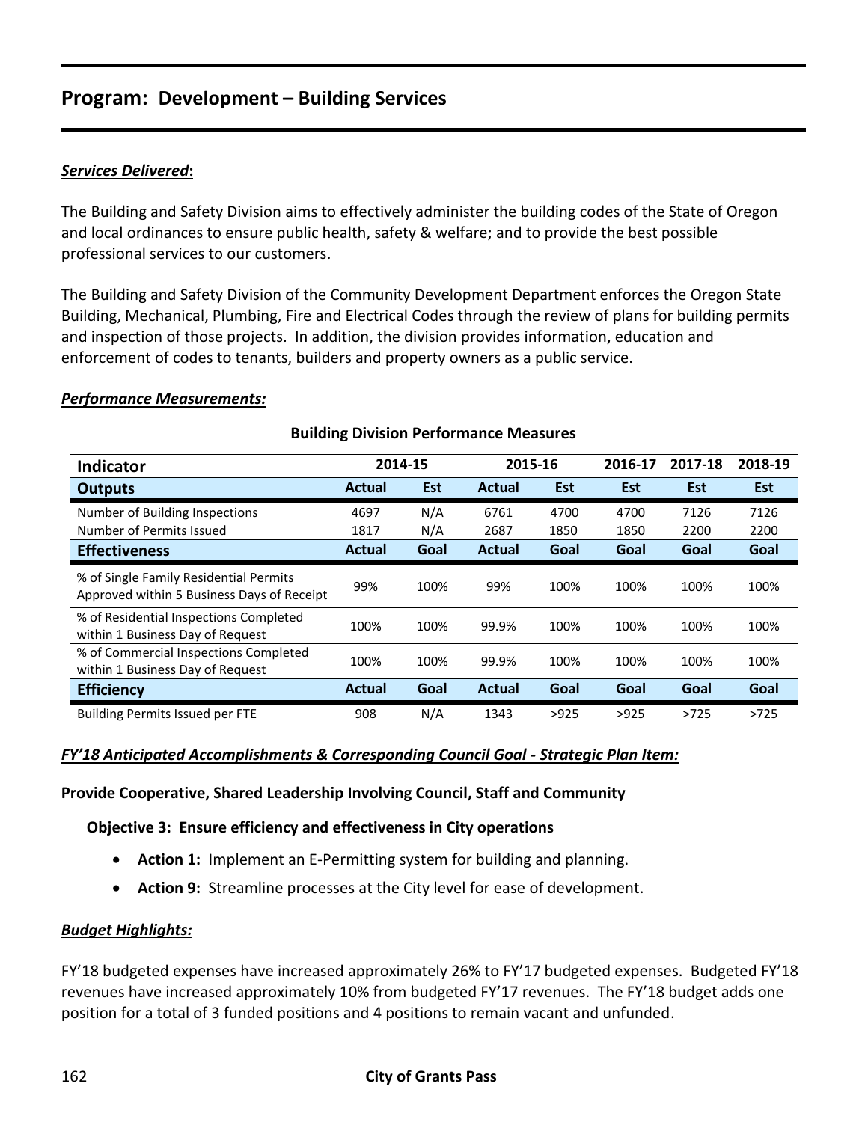### *Services Delivered***:**

The Building and Safety Division aims to effectively administer the building codes of the State of Oregon and local ordinances to ensure public health, safety & welfare; and to provide the best possible professional services to our customers.

The Building and Safety Division of the Community Development Department enforces the Oregon State Building, Mechanical, Plumbing, Fire and Electrical Codes through the review of plans for building permits and inspection of those projects. In addition, the division provides information, education and enforcement of codes to tenants, builders and property owners as a public service.

### *Performance Measurements:*

| <b>Indicator</b>                                                                     | 2014-15       |            | 2015-16       |            | 2016-17    | 2017-18    | 2018-19    |
|--------------------------------------------------------------------------------------|---------------|------------|---------------|------------|------------|------------|------------|
| <b>Outputs</b>                                                                       | <b>Actual</b> | <b>Est</b> | Actual        | <b>Est</b> | <b>Est</b> | <b>Est</b> | <b>Est</b> |
| Number of Building Inspections                                                       | 4697          | N/A        | 6761          | 4700       | 4700       | 7126       | 7126       |
| Number of Permits Issued                                                             | 1817          | N/A        | 2687          | 1850       | 1850       | 2200       | 2200       |
| <b>Effectiveness</b>                                                                 | <b>Actual</b> | Goal       | <b>Actual</b> | Goal       | Goal       | Goal       | Goal       |
| % of Single Family Residential Permits<br>Approved within 5 Business Days of Receipt | 99%           | 100%       | 99%           | 100%       | 100%       | 100%       | 100%       |
| % of Residential Inspections Completed<br>within 1 Business Day of Request           | 100%          | 100%       | 99.9%         | 100%       | 100%       | 100%       | 100%       |
| % of Commercial Inspections Completed<br>within 1 Business Day of Request            | 100%          | 100%       | 99.9%         | 100%       | 100%       | 100%       | 100%       |
| <b>Efficiency</b>                                                                    | <b>Actual</b> | Goal       | Actual        | Goal       | Goal       | Goal       | Goal       |
| <b>Building Permits Issued per FTE</b>                                               | 908           | N/A        | 1343          | >925       | >925       | >725       | >725       |

### **Building Division Performance Measures**

### *FY'18 Anticipated Accomplishments & Corresponding Council Goal - Strategic Plan Item:*

**Provide Cooperative, Shared Leadership Involving Council, Staff and Community**

**Objective 3: Ensure efficiency and effectiveness in City operations**

- **Action 1:** Implement an E-Permitting system for building and planning.
- **Action 9:** Streamline processes at the City level for ease of development.

### *Budget Highlights:*

FY'18 budgeted expenses have increased approximately 26% to FY'17 budgeted expenses. Budgeted FY'18 revenues have increased approximately 10% from budgeted FY'17 revenues. The FY'18 budget adds one position for a total of 3 funded positions and 4 positions to remain vacant and unfunded.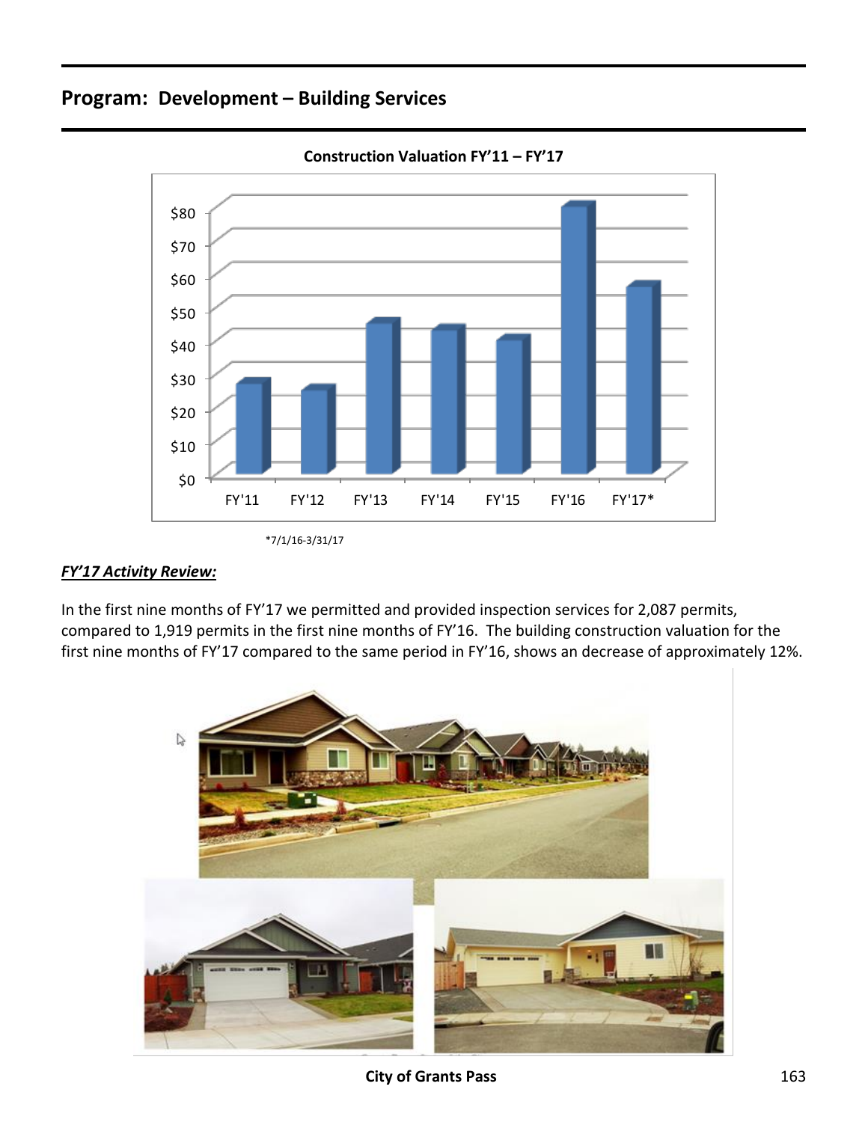



### *FY'17 Activity Review:*

In the first nine months of FY'17 we permitted and provided inspection services for 2,087 permits, compared to 1,919 permits in the first nine months of FY'16. The building construction valuation for the first nine months of FY'17 compared to the same period in FY'16, shows an decrease of approximately 12%.



<sup>\*7/1/16-3/31/17</sup>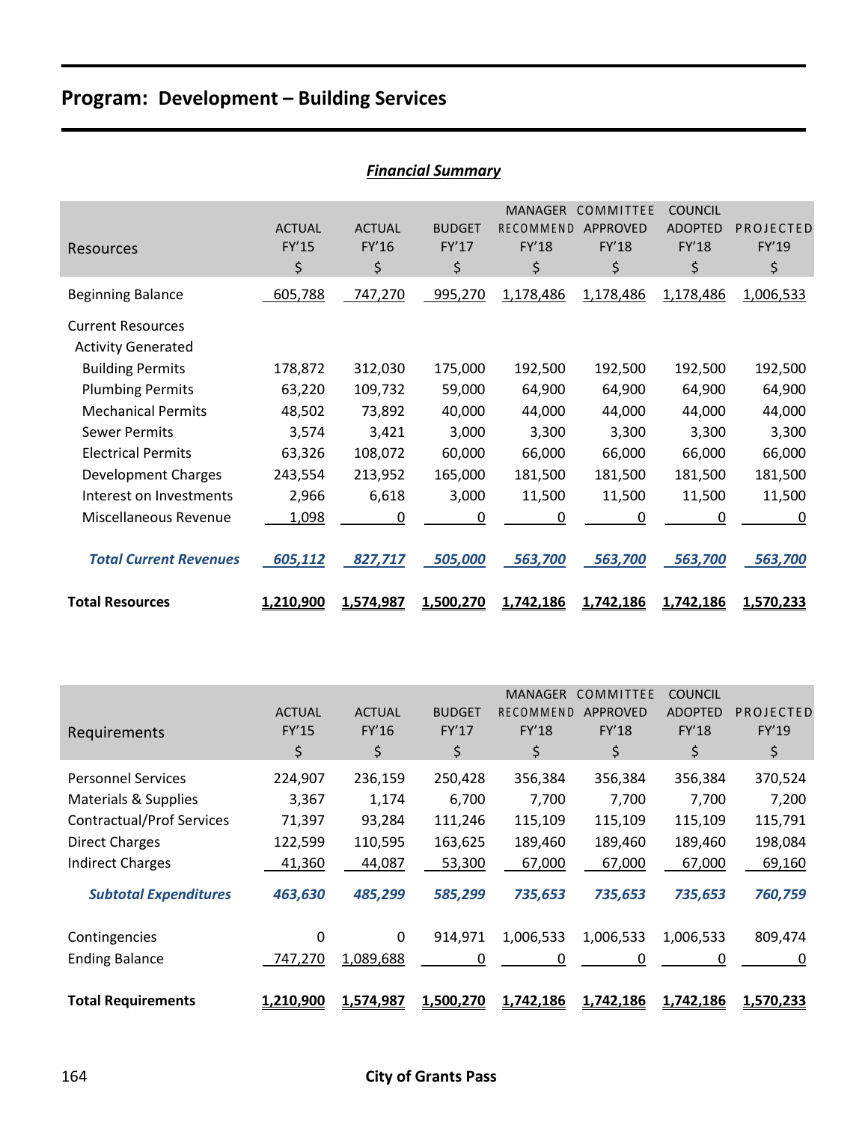| <b>FINANCIAI SUMMATY</b>                              |                              |                              |                              |                                                   |                                             |                                                 |                          |  |  |  |
|-------------------------------------------------------|------------------------------|------------------------------|------------------------------|---------------------------------------------------|---------------------------------------------|-------------------------------------------------|--------------------------|--|--|--|
| Resources                                             | <b>ACTUAL</b><br>FY'15<br>\$ | <b>ACTUAL</b><br>FY'16<br>\$ | <b>BUDGET</b><br>FY'17<br>\$ | <b>MANAGER</b><br><b>RECOMMEND</b><br>FY'18<br>\$ | COMMITTEE<br><b>APPROVED</b><br>FY'18<br>\$ | <b>COUNCIL</b><br><b>ADOPTED</b><br>FY'18<br>\$ | PROJECTED<br>FY'19<br>\$ |  |  |  |
| <b>Beginning Balance</b>                              | 605,788                      | 747,270                      | 995,270                      | 1,178,486                                         | 1,178,486                                   | 1,178,486                                       | 1,006,533                |  |  |  |
| <b>Current Resources</b><br><b>Activity Generated</b> |                              |                              |                              |                                                   |                                             |                                                 |                          |  |  |  |
| <b>Building Permits</b>                               | 178,872                      | 312,030                      | 175,000                      | 192,500                                           | 192,500                                     | 192,500                                         | 192,500                  |  |  |  |
| <b>Plumbing Permits</b>                               | 63,220                       | 109,732                      | 59,000                       | 64,900                                            | 64,900                                      | 64,900                                          | 64,900                   |  |  |  |
| <b>Mechanical Permits</b>                             | 48,502                       | 73,892                       | 40,000                       | 44,000                                            | 44,000                                      | 44,000                                          | 44,000                   |  |  |  |
| <b>Sewer Permits</b>                                  | 3,574                        | 3,421                        | 3,000                        | 3,300                                             | 3,300                                       | 3,300                                           | 3,300                    |  |  |  |
| <b>Electrical Permits</b>                             | 63,326                       | 108,072                      | 60,000                       | 66,000                                            | 66,000                                      | 66,000                                          | 66,000                   |  |  |  |
| <b>Development Charges</b>                            | 243,554                      | 213,952                      | 165,000                      | 181,500                                           | 181,500                                     | 181,500                                         | 181,500                  |  |  |  |
| Interest on Investments                               | 2,966                        | 6,618                        | 3,000                        | 11,500                                            | 11,500                                      | 11,500                                          | 11,500                   |  |  |  |
| Miscellaneous Revenue                                 | 1,098                        | 0                            | 0                            | 0                                                 | 0                                           | 0                                               | 0                        |  |  |  |
| <b>Total Current Revenues</b>                         | 605,112                      | 827,717                      | 505,000                      | 563,700                                           | 563,700                                     | 563,700                                         | 563,700                  |  |  |  |
| <b>Total Resources</b>                                | 1,210,900                    | 1,574,987                    | 1,500,270                    | 1,742,186                                         | 1,742,186                                   | 1,742,186                                       | 1,570,233                |  |  |  |

| <b>Financial Summary</b> |
|--------------------------|
|--------------------------|

|                                  |               |               |               | <b>MANAGER</b>   | COMMITTEE | <b>COUNCIL</b> |           |
|----------------------------------|---------------|---------------|---------------|------------------|-----------|----------------|-----------|
|                                  | <b>ACTUAL</b> | <b>ACTUAL</b> | <b>BUDGET</b> | <b>RECOMMEND</b> | APPROVED  | <b>ADOPTED</b> | PROJECTED |
| Requirements                     | <b>FY'15</b>  | <b>FY'16</b>  | FY'17         | FY'18            | FY'18     | FY'18          | FY'19     |
|                                  | \$            | \$            | \$            | \$               | \$        | \$             | \$        |
| <b>Personnel Services</b>        | 224,907       | 236,159       | 250,428       | 356,384          | 356,384   | 356,384        | 370,524   |
| Materials & Supplies             | 3,367         | 1,174         | 6,700         | 7,700            | 7,700     | 7,700          | 7,200     |
| <b>Contractual/Prof Services</b> | 71,397        | 93,284        | 111,246       | 115,109          | 115,109   | 115,109        | 115,791   |
| <b>Direct Charges</b>            | 122,599       | 110,595       | 163,625       | 189,460          | 189,460   | 189,460        | 198,084   |
| <b>Indirect Charges</b>          | 41,360        | 44,087        | 53,300        | 67,000           | 67,000    | 67,000         | 69,160    |
| <b>Subtotal Expenditures</b>     | 463,630       | 485,299       | 585,299       | 735,653          | 735,653   | 735,653        | 760,759   |
| Contingencies                    | 0             | $\Omega$      | 914,971       | 1,006,533        | 1,006,533 | 1,006,533      | 809,474   |
| <b>Ending Balance</b>            | 747,270       | 1,089,688     | 0             | 0                | 0         | 0              | 0         |
| <b>Total Requirements</b>        | 1,210,900     | 1,574,987     | 1,500,270     | 1,742,186        | 1,742,186 | 1,742,186      | 1,570,233 |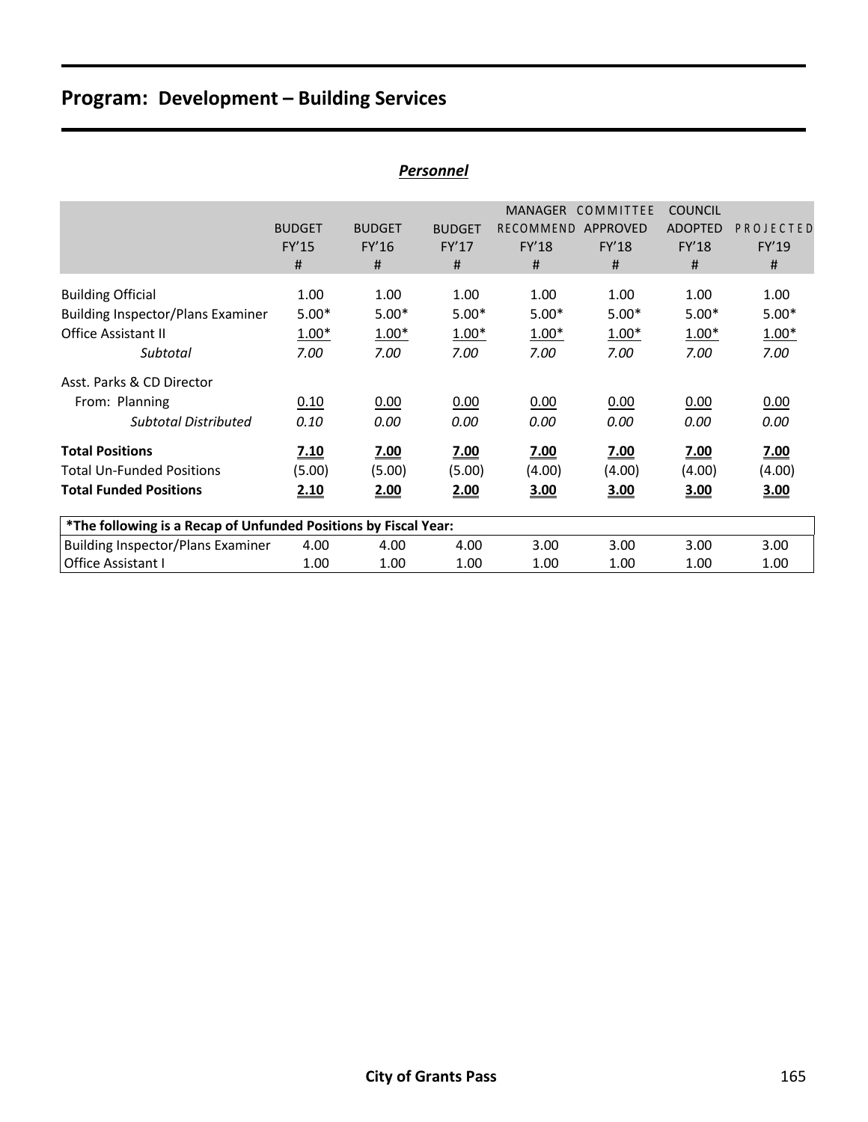| <u>Personnel</u>                                                                                        |                                    |                                    |                                    |                                                  |                                            |                                                       |                                    |  |  |  |
|---------------------------------------------------------------------------------------------------------|------------------------------------|------------------------------------|------------------------------------|--------------------------------------------------|--------------------------------------------|-------------------------------------------------------|------------------------------------|--|--|--|
|                                                                                                         | <b>BUDGET</b><br><b>FY'15</b><br># | <b>BUDGET</b><br>FY'16<br>#        | <b>BUDGET</b><br>FY'17<br>#        | <b>MANAGER</b><br>RECOMMEND<br><b>FY'18</b><br># | COMMITTEE<br>APPROVED<br><b>FY'18</b><br># | <b>COUNCIL</b><br><b>ADOPTED</b><br><b>FY'18</b><br># | PROJECTED<br>FY'19<br>#            |  |  |  |
| <b>Building Official</b><br><b>Building Inspector/Plans Examiner</b><br>Office Assistant II<br>Subtotal | 1.00<br>$5.00*$<br>$1.00*$<br>7.00 | 1.00<br>$5.00*$<br>$1.00*$<br>7.00 | 1.00<br>$5.00*$<br>$1.00*$<br>7.00 | 1.00<br>$5.00*$<br>$1.00*$<br>7.00               | 1.00<br>$5.00*$<br>$1.00*$<br>7.00         | 1.00<br>$5.00*$<br>$1.00*$<br>7.00                    | 1.00<br>$5.00*$<br>$1.00*$<br>7.00 |  |  |  |
| Asst. Parks & CD Director<br>From: Planning<br><b>Subtotal Distributed</b>                              | 0.10<br>0.10                       | 0.00<br>0.00                       | 0.00<br>0.00                       | 0.00<br>0.00                                     | 0.00<br>0.00                               | 0.00<br>0.00                                          | 0.00<br>0.00                       |  |  |  |
| <b>Total Positions</b><br><b>Total Un-Funded Positions</b><br><b>Total Funded Positions</b>             | <u>7.10</u><br>(5.00)<br>2.10      | 7.00<br>(5.00)<br>2.00             | 7.00<br>(5.00)<br>2.00             | <u>7.00</u><br>(4.00)<br>3.00                    | <u>7.00</u><br>(4.00)<br>3.00              | 7.00<br>(4.00)<br>3.00                                | 7.00<br>(4.00)<br>3.00             |  |  |  |
| *The following is a Recap of Unfunded Positions by Fiscal Year:                                         |                                    |                                    |                                    |                                                  |                                            |                                                       |                                    |  |  |  |
| Building Inspector/Plans Examiner<br><b>Office Assistant I</b>                                          | 4.00<br>1.00                       | 4.00<br>1.00                       | 4.00<br>1.00                       | 3.00<br>1.00                                     | 3.00<br>1.00                               | 3.00<br>1.00                                          | 3.00<br>1.00                       |  |  |  |

#### *Personnel*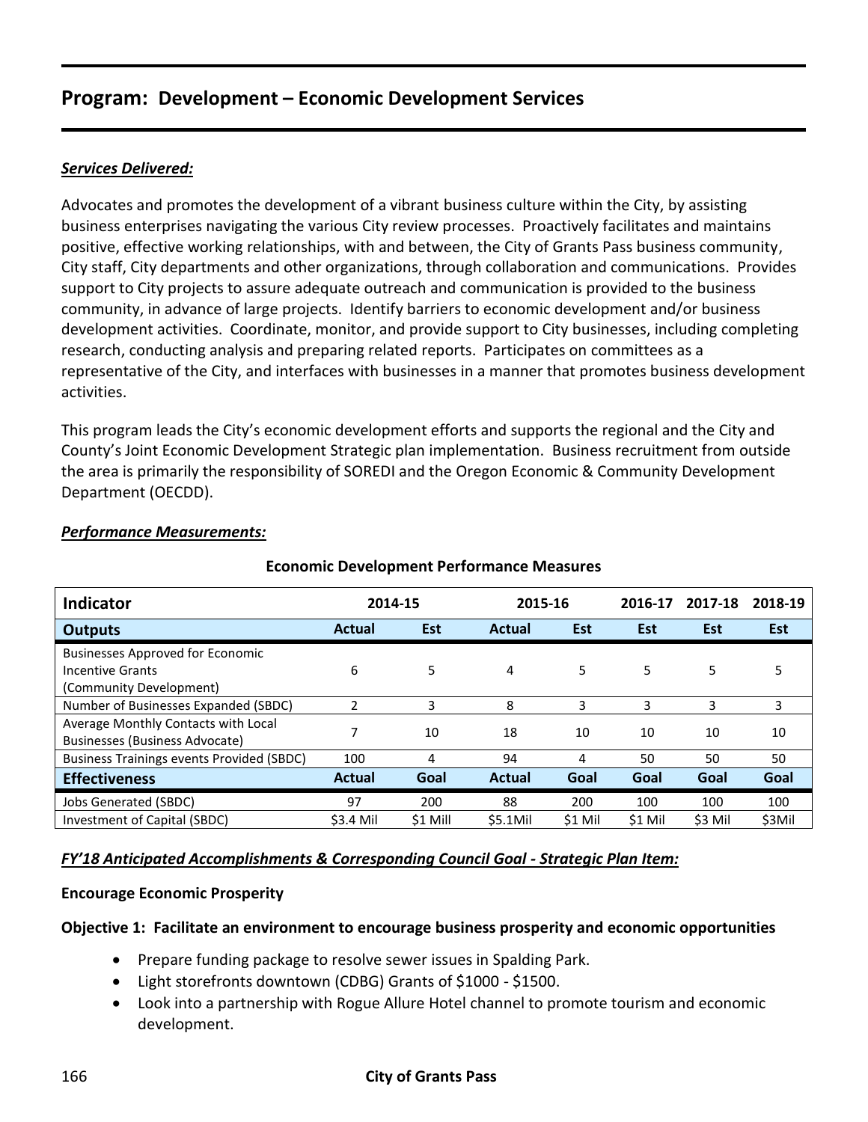### *Services Delivered:*

Advocates and promotes the development of a vibrant business culture within the City, by assisting business enterprises navigating the various City review processes. Proactively facilitates and maintains positive, effective working relationships, with and between, the City of Grants Pass business community, City staff, City departments and other organizations, through collaboration and communications. Provides support to City projects to assure adequate outreach and communication is provided to the business community, in advance of large projects. Identify barriers to economic development and/or business development activities. Coordinate, monitor, and provide support to City businesses, including completing research, conducting analysis and preparing related reports. Participates on committees as a representative of the City, and interfaces with businesses in a manner that promotes business development activities.

This program leads the City's economic development efforts and supports the regional and the City and County's Joint Economic Development Strategic plan implementation. Business recruitment from outside the area is primarily the responsibility of SOREDI and the Oregon Economic & Community Development Department (OECDD).

| <b>Indicator</b>                                 | 2014-15                  |            | 2015-16       |            | 2016-17 | 2017-18    | 2018-19    |
|--------------------------------------------------|--------------------------|------------|---------------|------------|---------|------------|------------|
|                                                  |                          |            |               |            |         |            |            |
| <b>Outputs</b>                                   | Actual                   | <b>Est</b> | <b>Actual</b> | <b>Est</b> | Est     | <b>Est</b> | <b>Est</b> |
| <b>Businesses Approved for Economic</b>          |                          |            |               |            |         |            |            |
| Incentive Grants                                 | 6                        | 5          | 4             | 5.         | 5       | 5          | 5          |
| (Community Development)                          |                          |            |               |            |         |            |            |
| Number of Businesses Expanded (SBDC)             | $\overline{\phantom{a}}$ | 3          | 8             | 3          | 3       | 3          | 3          |
| Average Monthly Contacts with Local              |                          | 10         | 18            | 10         | 10      | 10         | 10         |
| <b>Businesses (Business Advocate)</b>            |                          |            |               |            |         |            |            |
| <b>Business Trainings events Provided (SBDC)</b> | 100                      | 4          | 94            | 4          | 50      | 50         | 50         |
| <b>Effectiveness</b>                             | Actual                   | Goal       | <b>Actual</b> | Goal       | Goal    | Goal       | Goal       |
| Jobs Generated (SBDC)                            | 97                       | 200        | 88            | 200        | 100     | 100        | 100        |
| Investment of Capital (SBDC)                     | \$3.4 Mil                | \$1 Mill   | \$5.1Mil      | \$1 Mil    | \$1 Mil | \$3 Mil    | \$3Mil     |

### *Performance Measurements:*

### **Economic Development Performance Measures**

### *FY'18 Anticipated Accomplishments & Corresponding Council Goal - Strategic Plan Item:*

### **Encourage Economic Prosperity**

### **Objective 1: Facilitate an environment to encourage business prosperity and economic opportunities**

- Prepare funding package to resolve sewer issues in Spalding Park.
- Light storefronts downtown (CDBG) Grants of \$1000 \$1500.
- Look into a partnership with Rogue Allure Hotel channel to promote tourism and economic development.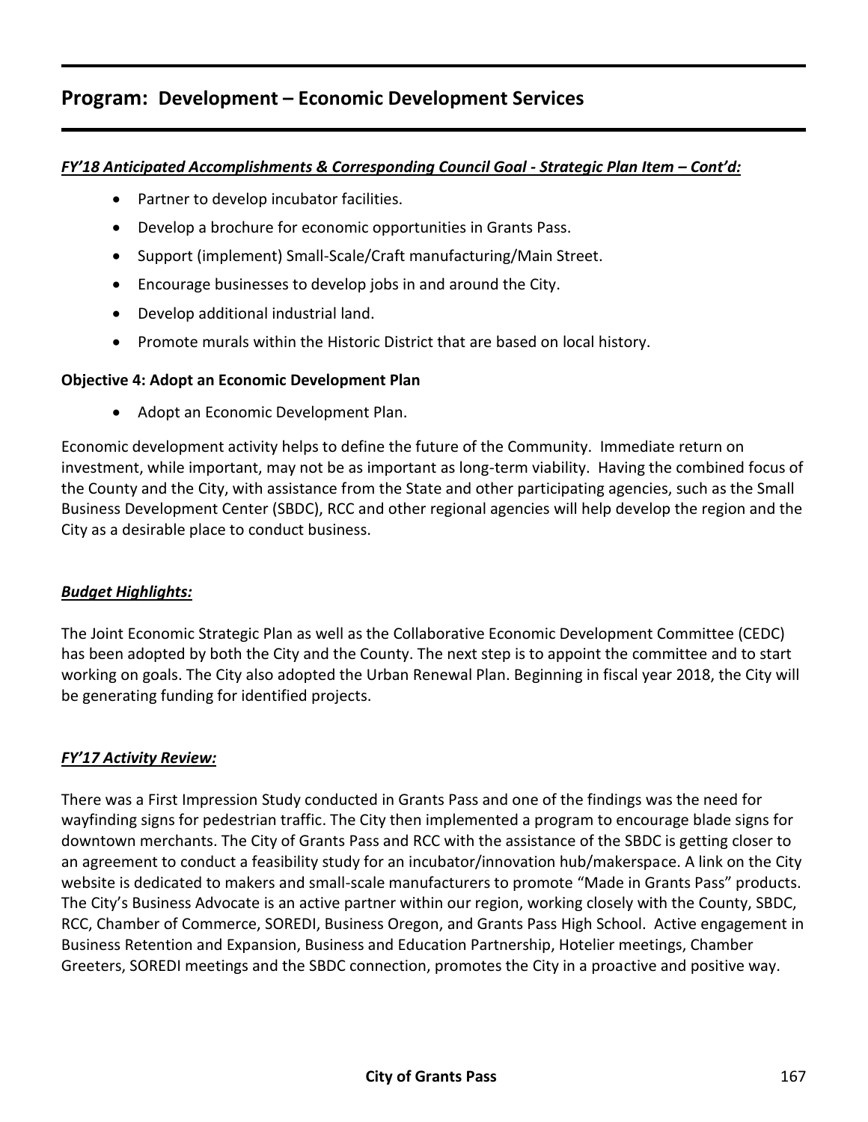### *FY'18 Anticipated Accomplishments & Corresponding Council Goal - Strategic Plan Item – Cont'd:*

- Partner to develop incubator facilities.
- Develop a brochure for economic opportunities in Grants Pass.
- Support (implement) Small-Scale/Craft manufacturing/Main Street.
- Encourage businesses to develop jobs in and around the City.
- Develop additional industrial land.
- Promote murals within the Historic District that are based on local history.

### **Objective 4: Adopt an Economic Development Plan**

• Adopt an Economic Development Plan.

Economic development activity helps to define the future of the Community. Immediate return on investment, while important, may not be as important as long-term viability. Having the combined focus of the County and the City, with assistance from the State and other participating agencies, such as the Small Business Development Center (SBDC), RCC and other regional agencies will help develop the region and the City as a desirable place to conduct business.

### *Budget Highlights:*

The Joint Economic Strategic Plan as well as the Collaborative Economic Development Committee (CEDC) has been adopted by both the City and the County. The next step is to appoint the committee and to start working on goals. The City also adopted the Urban Renewal Plan. Beginning in fiscal year 2018, the City will be generating funding for identified projects.

### *FY'17 Activity Review:*

There was a First Impression Study conducted in Grants Pass and one of the findings was the need for wayfinding signs for pedestrian traffic. The City then implemented a program to encourage blade signs for downtown merchants. The City of Grants Pass and RCC with the assistance of the SBDC is getting closer to an agreement to conduct a feasibility study for an incubator/innovation hub/makerspace. A link on the City website is dedicated to makers and small-scale manufacturers to promote "Made in Grants Pass" products. The City's Business Advocate is an active partner within our region, working closely with the County, SBDC, RCC, Chamber of Commerce, SOREDI, Business Oregon, and Grants Pass High School. Active engagement in Business Retention and Expansion, Business and Education Partnership, Hotelier meetings, Chamber Greeters, SOREDI meetings and the SBDC connection, promotes the City in a proactive and positive way.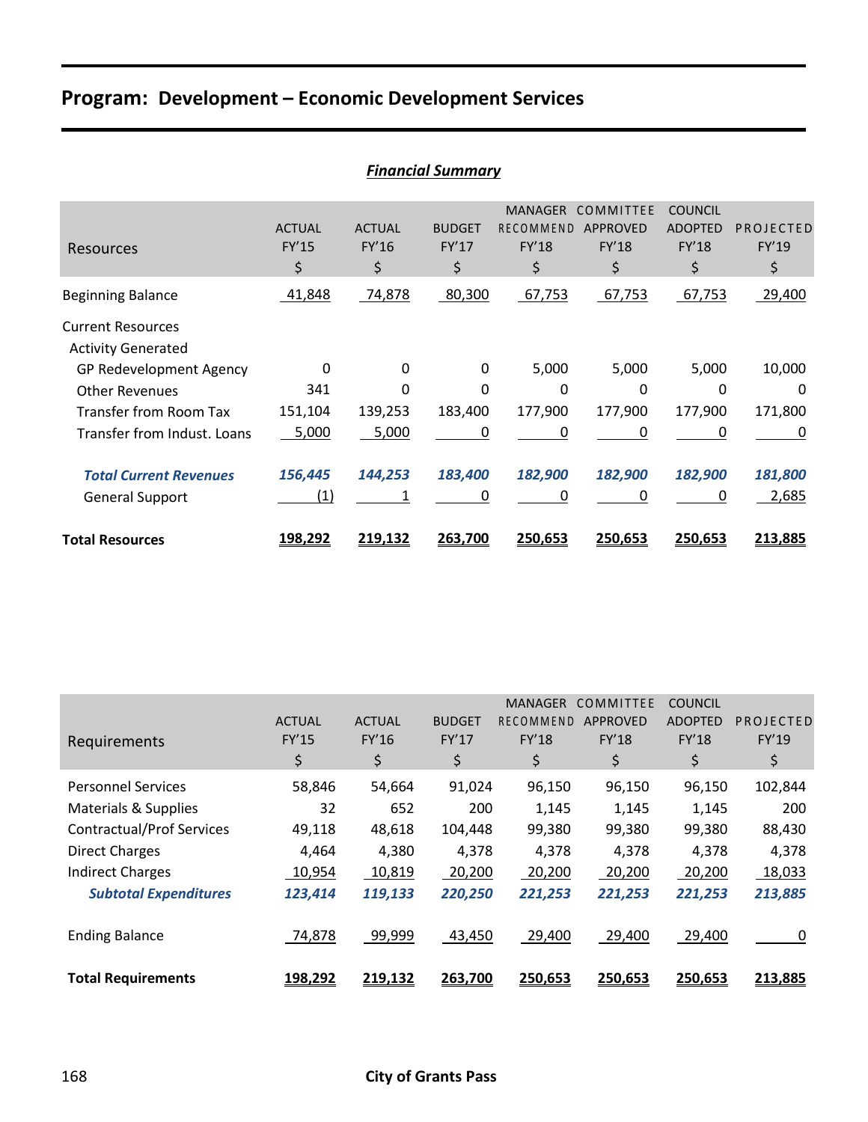|                                                       | <b>Financial Summary</b>     |                              |                              |                                            |                                             |                                                 |                          |  |  |  |
|-------------------------------------------------------|------------------------------|------------------------------|------------------------------|--------------------------------------------|---------------------------------------------|-------------------------------------------------|--------------------------|--|--|--|
| Resources                                             | <b>ACTUAL</b><br>FY'15<br>\$ | <b>ACTUAL</b><br>FY'16<br>\$ | <b>BUDGET</b><br>FY'17<br>\$ | <b>MANAGER</b><br>RECOMMEND<br>FY'18<br>\$ | COMMITTEE<br><b>APPROVED</b><br>FY'18<br>\$ | <b>COUNCIL</b><br><b>ADOPTED</b><br>FY'18<br>\$ | PROJECTED<br>FY'19<br>\$ |  |  |  |
| <b>Beginning Balance</b>                              | 41,848                       | 74,878                       | 80,300                       | 67,753                                     | 67,753                                      | 67,753                                          | 29,400                   |  |  |  |
| <b>Current Resources</b><br><b>Activity Generated</b> |                              |                              |                              |                                            |                                             |                                                 |                          |  |  |  |
| GP Redevelopment Agency                               | 0                            | 0                            | 0                            | 5,000                                      | 5,000                                       | 5,000                                           | 10,000                   |  |  |  |
| <b>Other Revenues</b>                                 | 341                          | 0                            | 0                            | 0                                          | 0                                           | $\Omega$                                        | 0                        |  |  |  |
| <b>Transfer from Room Tax</b>                         | 151,104                      | 139,253                      | 183,400                      | 177,900                                    | 177,900                                     | 177,900                                         | 171,800                  |  |  |  |
| Transfer from Indust, Loans                           | 5,000                        | 5,000                        | 0                            | 0                                          | 0                                           | 0                                               | 0                        |  |  |  |
| <b>Total Current Revenues</b>                         | 156,445                      | 144,253                      | 183,400                      | 182,900                                    | 182,900                                     | 182,900                                         | 181,800                  |  |  |  |
| <b>General Support</b>                                | (1)                          |                              | 0                            | 0                                          | 0                                           | 0                                               | 2,685                    |  |  |  |
| <b>Total Resources</b>                                | <u>198,292</u>               | <u>219,132</u>               | 263,700                      | 250,653                                    | 250,653                                     | 250,653                                         | 213,885                  |  |  |  |

|                                  |               |               |               | <b>MANAGER</b>   | COMMITTEE       | <b>COUNCIL</b> |           |
|----------------------------------|---------------|---------------|---------------|------------------|-----------------|----------------|-----------|
|                                  | <b>ACTUAL</b> | <b>ACTUAL</b> | <b>BUDGET</b> | <b>RECOMMEND</b> | <b>APPROVED</b> | <b>ADOPTED</b> | PROJECTED |
| Requirements                     | <b>FY'15</b>  | FY'16         | FY'17         | <b>FY'18</b>     | <b>FY'18</b>    | <b>FY'18</b>   | FY'19     |
|                                  | \$            | \$            | \$            | \$               | \$              | \$             | \$        |
| <b>Personnel Services</b>        | 58,846        | 54,664        | 91,024        | 96,150           | 96,150          | 96,150         | 102,844   |
| Materials & Supplies             | 32            | 652           | 200           | 1,145            | 1,145           | 1,145          | 200       |
| <b>Contractual/Prof Services</b> | 49,118        | 48,618        | 104,448       | 99,380           | 99,380          | 99,380         | 88,430    |
| <b>Direct Charges</b>            | 4,464         | 4,380         | 4,378         | 4,378            | 4,378           | 4,378          | 4,378     |
| <b>Indirect Charges</b>          | 10,954        | 10,819        | 20,200        | 20,200           | 20,200          | 20,200         | 18,033    |
| <b>Subtotal Expenditures</b>     | 123,414       | 119,133       | 220,250       | 221,253          | 221,253         | 221,253        | 213,885   |
| <b>Ending Balance</b>            | 74,878        | 99,999        | 43,450        | 29,400           | 29,400          | 29,400         | 0         |
| <b>Total Requirements</b>        | 198,292       | 219,132       | 263,700       | 250,653          | 250,653         | 250,653        | 213,885   |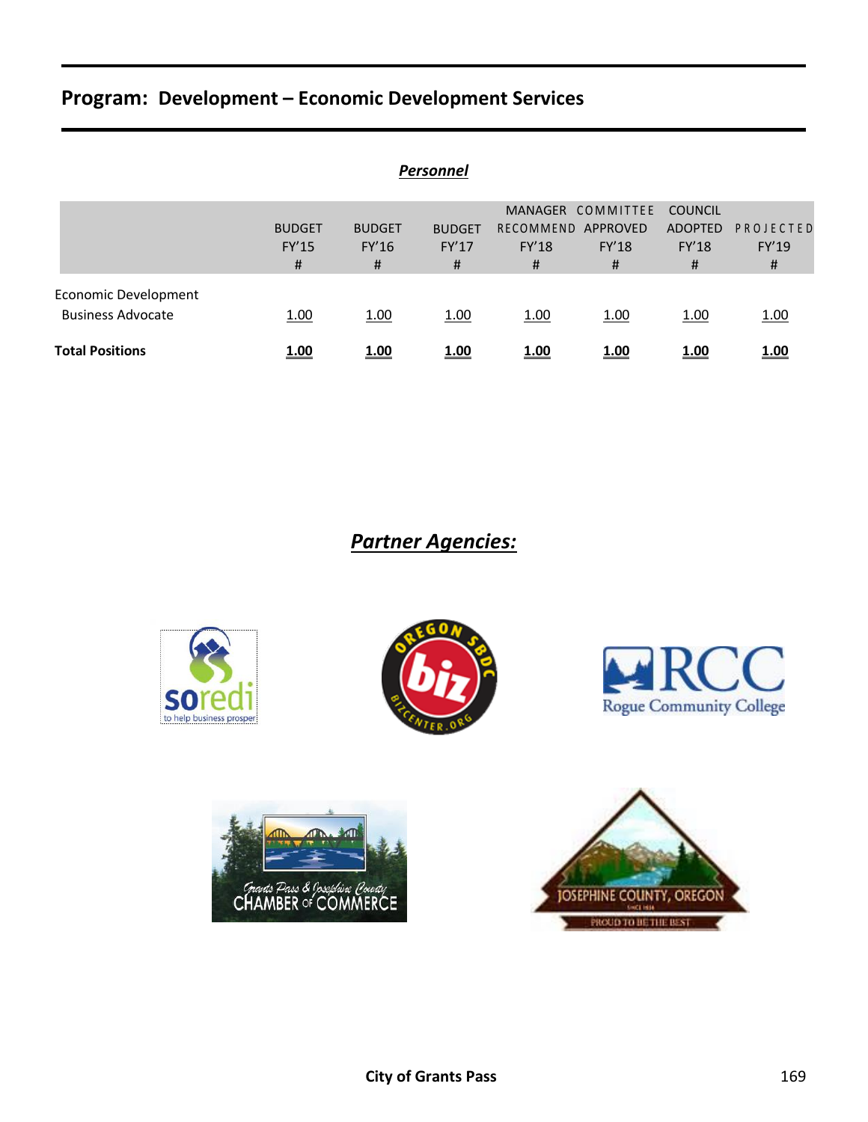| <b>Personnel</b>            |               |               |               |                    |                   |                |             |  |  |  |
|-----------------------------|---------------|---------------|---------------|--------------------|-------------------|----------------|-------------|--|--|--|
|                             |               |               |               |                    | MANAGER COMMITTEE | <b>COUNCIL</b> |             |  |  |  |
|                             | <b>BUDGET</b> | <b>BUDGET</b> | <b>BUDGET</b> | RECOMMEND APPROVED |                   | <b>ADOPTED</b> | PROJECTED   |  |  |  |
|                             | FY'15         | FY'16         | FY'17         | <b>FY'18</b>       | FY'18             | <b>FY'18</b>   | FY'19       |  |  |  |
|                             | #             | #             | #             | #                  | #                 | #              | #           |  |  |  |
| <b>Economic Development</b> |               |               |               |                    |                   |                |             |  |  |  |
| <b>Business Advocate</b>    | 1.00          | 1.00          | 1.00          | 1.00               | 1.00              | 1.00           | 1.00        |  |  |  |
| <b>Total Positions</b>      | 1.00          | 1.00          | 1.00          | <u>1.00</u>        | <u>1.00</u>       | <u>1.00</u>    | <u>1.00</u> |  |  |  |

*Partner Agencies:*









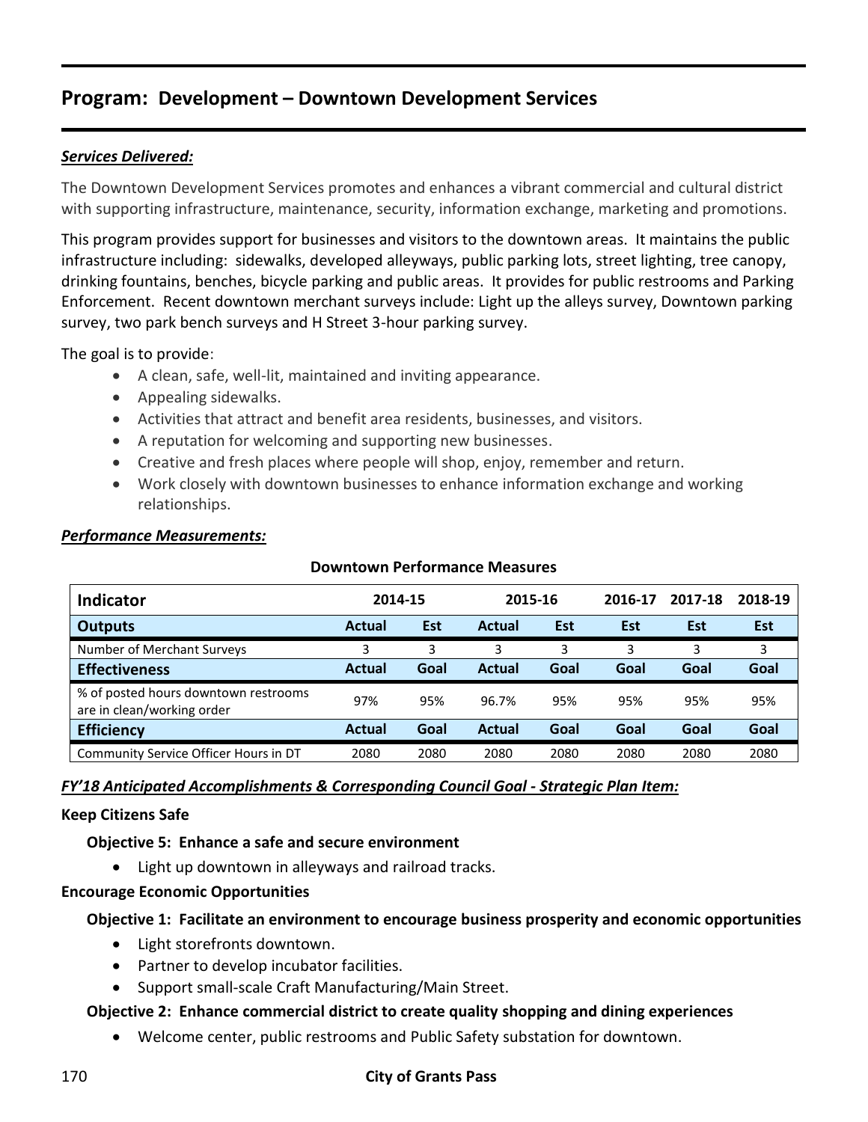### *Services Delivered:*

The Downtown Development Services promotes and enhances a vibrant commercial and cultural district with supporting infrastructure, maintenance, security, information exchange, marketing and promotions.

This program provides support for businesses and visitors to the downtown areas. It maintains the public infrastructure including: sidewalks, developed alleyways, public parking lots, street lighting, tree canopy, drinking fountains, benches, bicycle parking and public areas. It provides for public restrooms and Parking Enforcement. Recent downtown merchant surveys include: Light up the alleys survey, Downtown parking survey, two park bench surveys and H Street 3-hour parking survey.

The goal is to provide:

- A clean, safe, well-lit, maintained and inviting appearance.
- Appealing sidewalks.
- Activities that attract and benefit area residents, businesses, and visitors.
- A reputation for welcoming and supporting new businesses.
- Creative and fresh places where people will shop, enjoy, remember and return.
- Work closely with downtown businesses to enhance information exchange and working relationships.

**Downtown Performance Measures**

| <b>Indicator</b>                                                   | 2014-15 |            | 2015-16 |      | 2016-17    | 2017-18    | 2018-19    |
|--------------------------------------------------------------------|---------|------------|---------|------|------------|------------|------------|
| <b>Outputs</b>                                                     | Actual  | <b>Est</b> | Actual  | Est  | <b>Est</b> | <b>Est</b> | <b>Est</b> |
| Number of Merchant Surveys                                         | 3       | 3          | 3       | 3    | 3          | 3          | 3          |
| <b>Effectiveness</b>                                               | Actual  | Goal       | Actual  | Goal | Goal       | Goal       | Goal       |
| % of posted hours downtown restrooms<br>are in clean/working order | 97%     | 95%        | 96.7%   | 95%  | 95%        | 95%        | 95%        |
| <b>Efficiency</b>                                                  | Actual  | Goal       | Actual  | Goal | Goal       | Goal       | Goal       |
| Community Service Officer Hours in DT                              | 2080    | 2080       | 2080    | 2080 | 2080       | 2080       | 2080       |

#### *Performance Measurements:*

# *FY'18 Anticipated Accomplishments & Corresponding Council Goal - Strategic Plan Item:*

### **Keep Citizens Safe**

### **Objective 5: Enhance a safe and secure environment**

Light up downtown in alleyways and railroad tracks.

### **Encourage Economic Opportunities**

### **Objective 1: Facilitate an environment to encourage business prosperity and economic opportunities**

- Light storefronts downtown.
- Partner to develop incubator facilities.
- Support small-scale Craft Manufacturing/Main Street.

### **Objective 2: Enhance commercial district to create quality shopping and dining experiences**

Welcome center, public restrooms and Public Safety substation for downtown.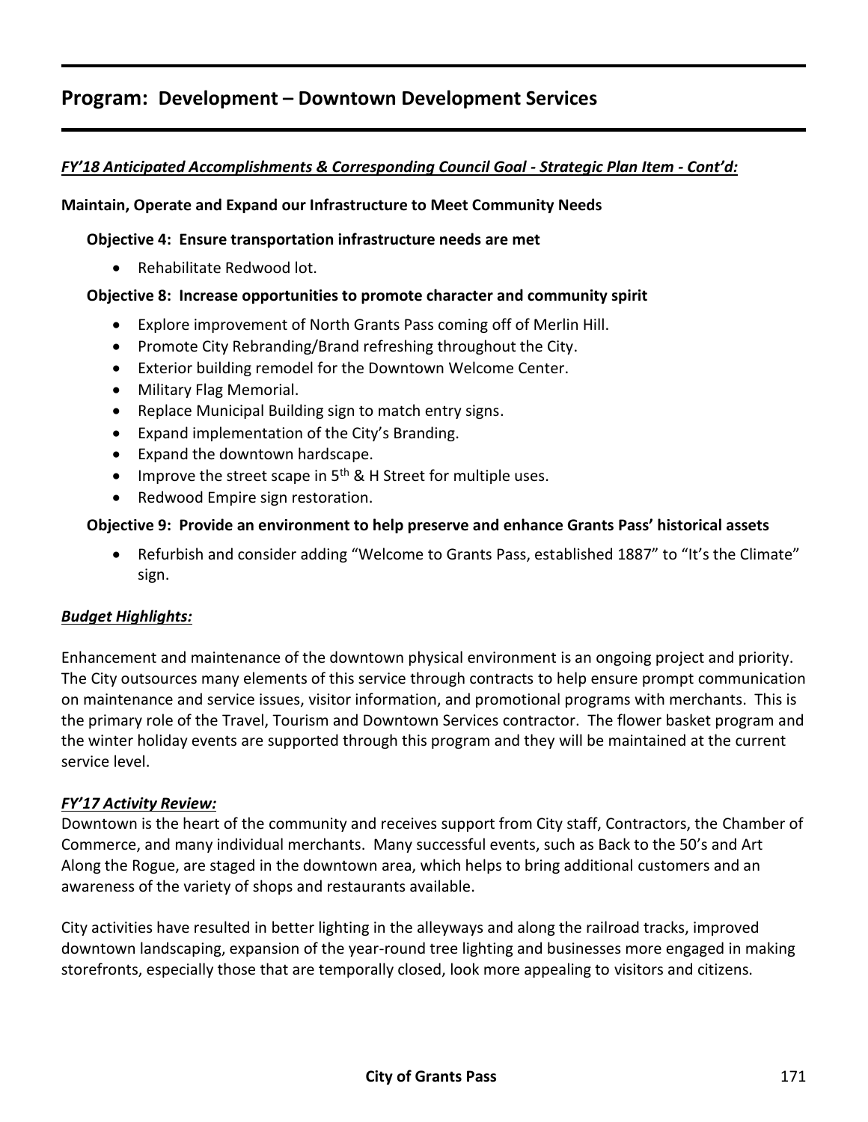### *FY'18 Anticipated Accomplishments & Corresponding Council Goal - Strategic Plan Item - Cont'd:*

### **Maintain, Operate and Expand our Infrastructure to Meet Community Needs**

### **Objective 4: Ensure transportation infrastructure needs are met**

• Rehabilitate Redwood lot.

### **Objective 8: Increase opportunities to promote character and community spirit**

- Explore improvement of North Grants Pass coming off of Merlin Hill.
- Promote City Rebranding/Brand refreshing throughout the City.
- Exterior building remodel for the Downtown Welcome Center.
- Military Flag Memorial.
- Replace Municipal Building sign to match entry signs.
- Expand implementation of the City's Branding.
- Expand the downtown hardscape.
- Improve the street scape in  $5<sup>th</sup>$  & H Street for multiple uses.
- Redwood Empire sign restoration.

### **Objective 9: Provide an environment to help preserve and enhance Grants Pass' historical assets**

 Refurbish and consider adding "Welcome to Grants Pass, established 1887" to "It's the Climate" sign.

### *Budget Highlights:*

Enhancement and maintenance of the downtown physical environment is an ongoing project and priority. The City outsources many elements of this service through contracts to help ensure prompt communication on maintenance and service issues, visitor information, and promotional programs with merchants. This is the primary role of the Travel, Tourism and Downtown Services contractor. The flower basket program and the winter holiday events are supported through this program and they will be maintained at the current service level.

### *FY'17 Activity Review:*

Downtown is the heart of the community and receives support from City staff, Contractors, the Chamber of Commerce, and many individual merchants. Many successful events, such as Back to the 50's and Art Along the Rogue, are staged in the downtown area, which helps to bring additional customers and an awareness of the variety of shops and restaurants available.

City activities have resulted in better lighting in the alleyways and along the railroad tracks, improved downtown landscaping, expansion of the year-round tree lighting and businesses more engaged in making storefronts, especially those that are temporally closed, look more appealing to visitors and citizens.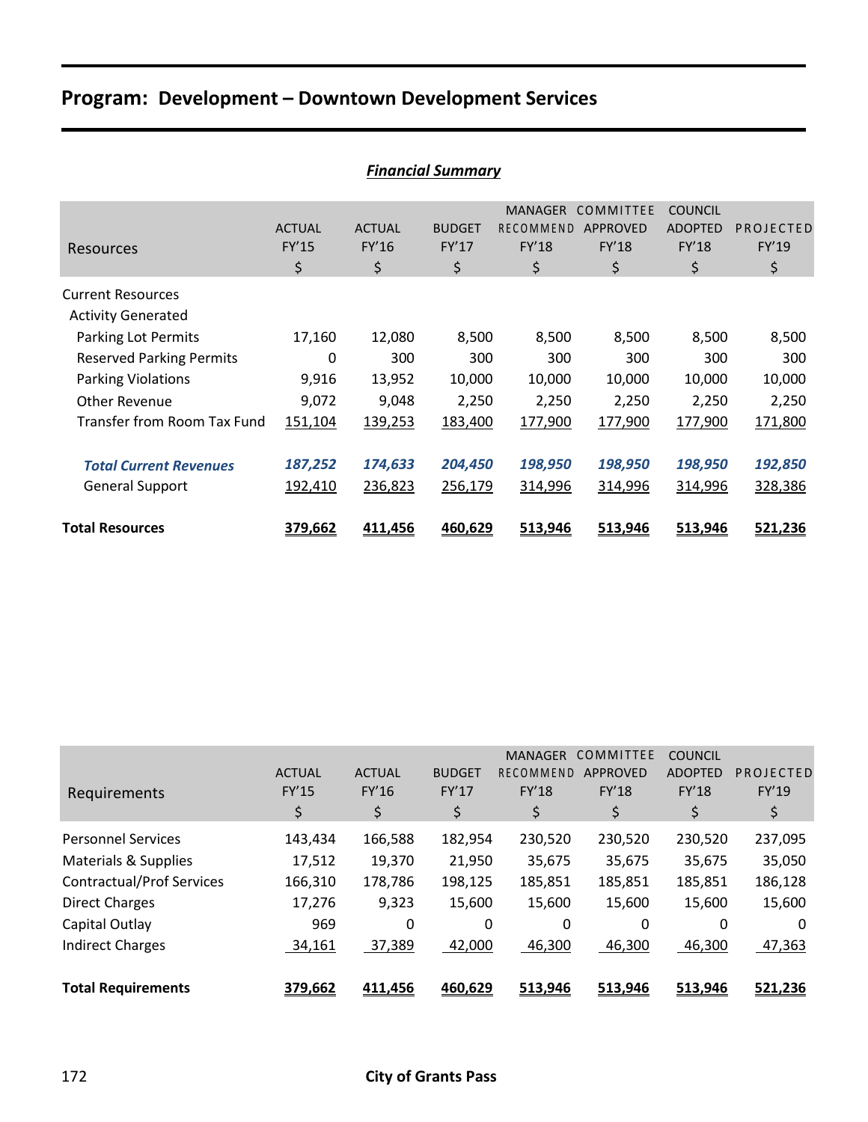|                                                       | I MUHUMI JUMMUU Y            |                              |                              |                                                          |                                             |                                                 |                          |  |  |  |
|-------------------------------------------------------|------------------------------|------------------------------|------------------------------|----------------------------------------------------------|---------------------------------------------|-------------------------------------------------|--------------------------|--|--|--|
| Resources                                             | <b>ACTUAL</b><br>FY'15<br>\$ | <b>ACTUAL</b><br>FY'16<br>\$ | <b>BUDGET</b><br>FY'17<br>\$ | <b>MANAGER</b><br><b>RECOMMEND</b><br><b>FY'18</b><br>\$ | COMMITTEE<br>APPROVED<br><b>FY'18</b><br>\$ | <b>COUNCIL</b><br><b>ADOPTED</b><br>FY'18<br>\$ | PROJECTED<br>FY'19<br>\$ |  |  |  |
| <b>Current Resources</b><br><b>Activity Generated</b> |                              |                              |                              |                                                          |                                             |                                                 |                          |  |  |  |
| <b>Parking Lot Permits</b>                            | 17,160                       | 12,080                       | 8,500                        | 8,500                                                    | 8,500                                       | 8,500                                           | 8,500                    |  |  |  |
| <b>Reserved Parking Permits</b>                       | 0                            | 300                          | 300                          | 300                                                      | 300                                         | 300                                             | 300                      |  |  |  |
| <b>Parking Violations</b>                             | 9,916                        | 13,952                       | 10,000                       | 10,000                                                   | 10,000                                      | 10,000                                          | 10,000                   |  |  |  |
| Other Revenue                                         | 9,072                        | 9,048                        | 2,250                        | 2,250                                                    | 2,250                                       | 2,250                                           | 2,250                    |  |  |  |
| Transfer from Room Tax Fund                           | 151,104                      | 139,253                      | 183,400                      | 177,900                                                  | 177,900                                     | 177,900                                         | 171,800                  |  |  |  |
| <b>Total Current Revenues</b>                         | 187,252                      | 174,633                      | 204,450                      | 198,950                                                  | 198,950                                     | 198,950                                         | 192,850                  |  |  |  |
| <b>General Support</b>                                | 192,410                      | 236,823                      | 256,179                      | 314,996                                                  | 314,996                                     | 314,996                                         | 328,386                  |  |  |  |
| <b>Total Resources</b>                                | 379,662                      | 411,456                      | 460,629                      | 513,946                                                  | 513,946                                     | 513,946                                         | 521,236                  |  |  |  |

|  | <b>Financial Summary</b> |
|--|--------------------------|
|  |                          |

| <b>Total Requirements</b>        | 379,662       | 411,456       | 460,629       | 513,946          | 513,946          | 513,946        | 521,236   |
|----------------------------------|---------------|---------------|---------------|------------------|------------------|----------------|-----------|
|                                  |               |               |               |                  |                  |                |           |
| <b>Indirect Charges</b>          | 34,161        | 37,389        | 42,000        | 46,300           | 46,300           | 46,300         | 47,363    |
| Capital Outlay                   | 969           | 0             | 0             | 0                | 0                | 0              | 0         |
| <b>Direct Charges</b>            | 17,276        | 9,323         | 15,600        | 15,600           | 15,600           | 15,600         | 15,600    |
| <b>Contractual/Prof Services</b> | 166,310       | 178,786       | 198,125       | 185,851          | 185,851          | 185,851        | 186,128   |
| Materials & Supplies             | 17,512        | 19,370        | 21,950        | 35,675           | 35,675           | 35,675         | 35,050    |
| <b>Personnel Services</b>        | 143,434       | 166,588       | 182,954       | 230,520          | 230,520          | 230,520        | 237,095   |
|                                  | \$            | \$            | \$            | \$               | \$               | \$             | \$        |
| Requirements                     | FY'15         | FY'16         | FY'17         | <b>FY'18</b>     | <b>FY'18</b>     | <b>FY'18</b>   | FY'19     |
|                                  | <b>ACTUAL</b> | <b>ACTUAL</b> | <b>BUDGET</b> | <b>RECOMMEND</b> | <b>APPROVED</b>  | <b>ADOPTED</b> | PROJECTED |
|                                  |               |               |               |                  |                  |                |           |
|                                  |               |               |               | <b>MANAGER</b>   | <b>COMMITTEE</b> | <b>COUNCIL</b> |           |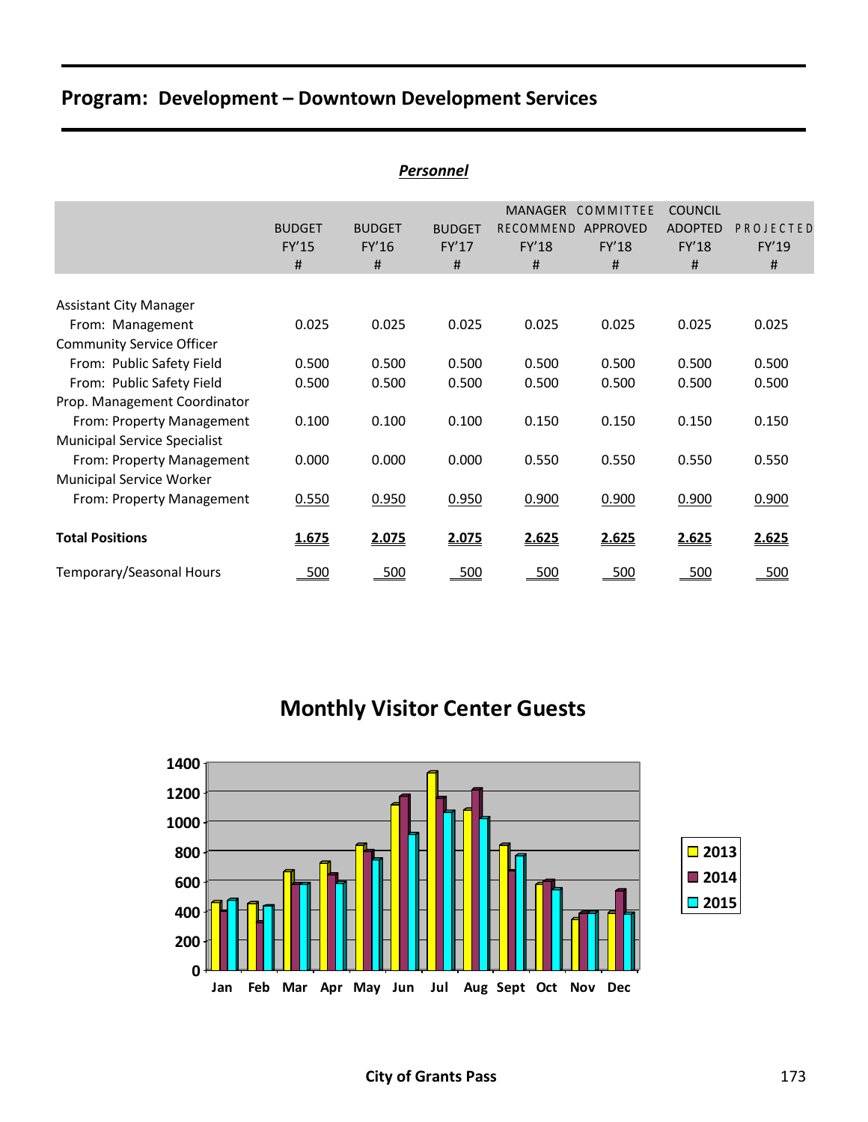| <b>Personnel</b>                                  |                                    |                             |                             |                                           |                                     |                                                |                         |  |  |  |  |
|---------------------------------------------------|------------------------------------|-----------------------------|-----------------------------|-------------------------------------------|-------------------------------------|------------------------------------------------|-------------------------|--|--|--|--|
|                                                   | <b>BUDGET</b><br><b>FY'15</b><br># | <b>BUDGET</b><br>FY'16<br># | <b>BUDGET</b><br>FY'17<br># | <b>MANAGER</b><br>RECOMMEND<br>FY'18<br># | COMMITTEE<br>APPROVED<br>FY'18<br># | <b>COUNCIL</b><br><b>ADOPTED</b><br>FY'18<br># | PROJECTED<br>FY'19<br># |  |  |  |  |
|                                                   |                                    |                             |                             |                                           |                                     |                                                |                         |  |  |  |  |
| <b>Assistant City Manager</b><br>From: Management | 0.025                              | 0.025                       | 0.025                       | 0.025                                     | 0.025                               | 0.025                                          | 0.025                   |  |  |  |  |
| <b>Community Service Officer</b>                  |                                    |                             |                             |                                           |                                     |                                                |                         |  |  |  |  |
| From: Public Safety Field                         | 0.500                              | 0.500                       | 0.500                       | 0.500                                     | 0.500                               | 0.500                                          | 0.500                   |  |  |  |  |
| From: Public Safety Field                         | 0.500                              | 0.500                       | 0.500                       | 0.500                                     | 0.500                               | 0.500                                          | 0.500                   |  |  |  |  |
| Prop. Management Coordinator                      |                                    |                             |                             |                                           |                                     |                                                |                         |  |  |  |  |
| From: Property Management                         | 0.100                              | 0.100                       | 0.100                       | 0.150                                     | 0.150                               | 0.150                                          | 0.150                   |  |  |  |  |
| <b>Municipal Service Specialist</b>               |                                    |                             |                             |                                           |                                     |                                                |                         |  |  |  |  |
| From: Property Management                         | 0.000                              | 0.000                       | 0.000                       | 0.550                                     | 0.550                               | 0.550                                          | 0.550                   |  |  |  |  |
| <b>Municipal Service Worker</b>                   |                                    |                             |                             |                                           |                                     |                                                |                         |  |  |  |  |
| From: Property Management                         | 0.550                              | 0.950                       | 0.950                       | 0.900                                     | 0.900                               | 0.900                                          | 0.900                   |  |  |  |  |
| <b>Total Positions</b>                            | 1.675                              | 2.075                       | 2.075                       | 2.625                                     | 2.625                               | 2.625                                          | 2.625                   |  |  |  |  |
| Temporary/Seasonal Hours                          | 500                                | 500                         | 500                         | 500                                       | 500                                 | 500                                            | 500                     |  |  |  |  |

**Monthly Visitor Center Guests**

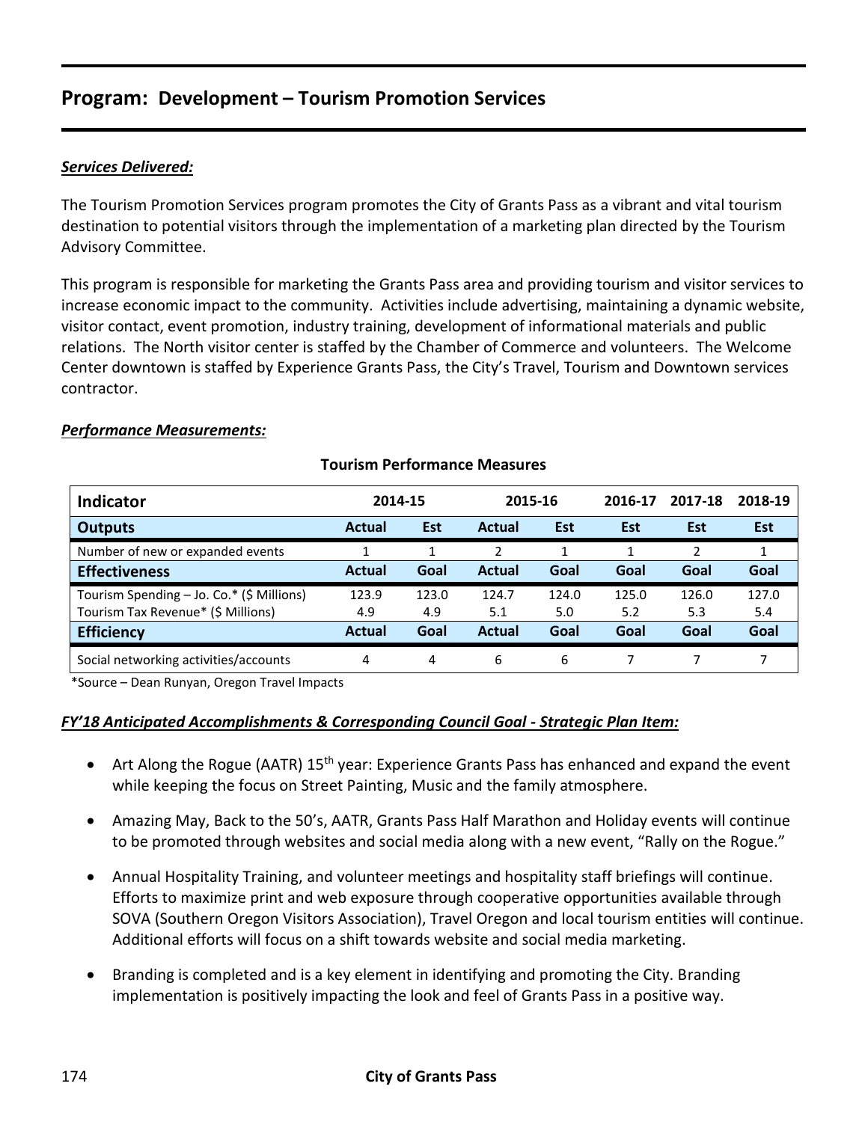### *Services Delivered:*

The Tourism Promotion Services program promotes the City of Grants Pass as a vibrant and vital tourism destination to potential visitors through the implementation of a marketing plan directed by the Tourism Advisory Committee.

This program is responsible for marketing the Grants Pass area and providing tourism and visitor services to increase economic impact to the community. Activities include advertising, maintaining a dynamic website, visitor contact, event promotion, industry training, development of informational materials and public relations. The North visitor center is staffed by the Chamber of Commerce and volunteers. The Welcome Center downtown is staffed by Experience Grants Pass, the City's Travel, Tourism and Downtown services contractor.

#### *Performance Measurements:*

| <b>Indicator</b>                          | 2014-15       |            | 2015-16 |       | 2016-17 | 2017-18    | 2018-19 |
|-------------------------------------------|---------------|------------|---------|-------|---------|------------|---------|
| <b>Outputs</b>                            | <b>Actual</b> | <b>Est</b> | Actual  | Est   | Est     | <b>Est</b> | Est     |
| Number of new or expanded events          | 1             |            |         |       | 1       |            |         |
| <b>Effectiveness</b>                      | <b>Actual</b> | Goal       | Actual  | Goal  | Goal    | Goal       | Goal    |
| Tourism Spending - Jo. Co.* (\$ Millions) | 123.9         | 123.0      | 124.7   | 124.0 | 125.0   | 126.0      | 127.0   |
| Tourism Tax Revenue* (\$ Millions)        | 4.9           | 4.9        | 5.1     | 5.0   | 5.2     | 5.3        | 5.4     |
| <b>Efficiency</b>                         | <b>Actual</b> | Goal       | Actual  | Goal  | Goal    | Goal       | Goal    |
| Social networking activities/accounts     | 4             | 4          | 6       | 6     |         |            |         |

### **Tourism Performance Measures**

\*Source – Dean Runyan, Oregon Travel Impacts

### *FY'18 Anticipated Accomplishments & Corresponding Council Goal - Strategic Plan Item:*

- Art Along the Rogue (AATR) 15<sup>th</sup> year: Experience Grants Pass has enhanced and expand the event while keeping the focus on Street Painting, Music and the family atmosphere.
- Amazing May, Back to the 50's, AATR, Grants Pass Half Marathon and Holiday events will continue to be promoted through websites and social media along with a new event, "Rally on the Rogue."
- Annual Hospitality Training, and volunteer meetings and hospitality staff briefings will continue. Efforts to maximize print and web exposure through cooperative opportunities available through SOVA (Southern Oregon Visitors Association), Travel Oregon and local tourism entities will continue. Additional efforts will focus on a shift towards website and social media marketing.
- Branding is completed and is a key element in identifying and promoting the City. Branding implementation is positively impacting the look and feel of Grants Pass in a positive way.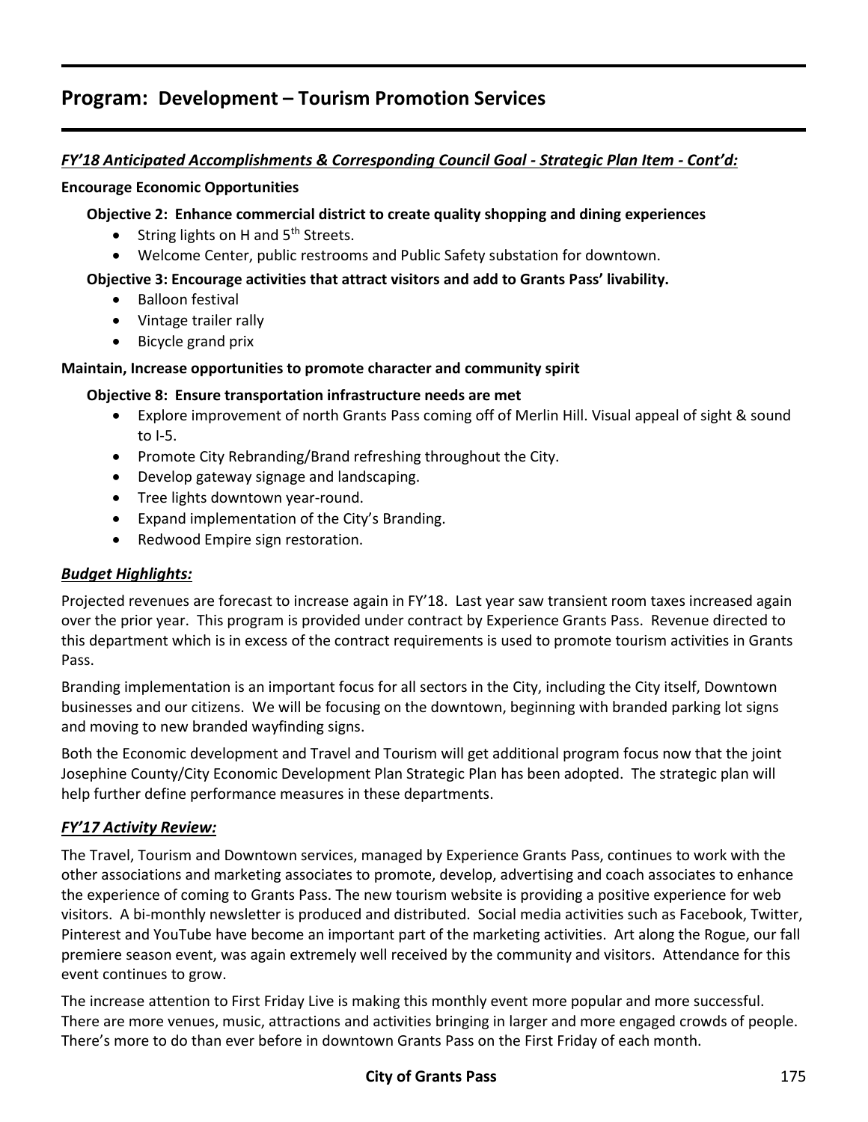### *FY'18 Anticipated Accomplishments & Corresponding Council Goal - Strategic Plan Item - Cont'd:*

#### **Encourage Economic Opportunities**

### **Objective 2: Enhance commercial district to create quality shopping and dining experiences**

- String lights on H and 5<sup>th</sup> Streets.
- Welcome Center, public restrooms and Public Safety substation for downtown.

### **Objective 3: Encourage activities that attract visitors and add to Grants Pass' livability.**

- Balloon festival
- Vintage trailer rally
- Bicycle grand prix

### **Maintain, Increase opportunities to promote character and community spirit**

### **Objective 8: Ensure transportation infrastructure needs are met**

- Explore improvement of north Grants Pass coming off of Merlin Hill. Visual appeal of sight & sound to I-5.
- Promote City Rebranding/Brand refreshing throughout the City.
- Develop gateway signage and landscaping.
- Tree lights downtown year-round.
- Expand implementation of the City's Branding.
- Redwood Empire sign restoration.

### *Budget Highlights:*

Projected revenues are forecast to increase again in FY'18. Last year saw transient room taxes increased again over the prior year. This program is provided under contract by Experience Grants Pass. Revenue directed to this department which is in excess of the contract requirements is used to promote tourism activities in Grants Pass.

Branding implementation is an important focus for all sectors in the City, including the City itself, Downtown businesses and our citizens. We will be focusing on the downtown, beginning with branded parking lot signs and moving to new branded wayfinding signs.

Both the Economic development and Travel and Tourism will get additional program focus now that the joint Josephine County/City Economic Development Plan Strategic Plan has been adopted. The strategic plan will help further define performance measures in these departments.

### *FY'17 Activity Review:*

The Travel, Tourism and Downtown services, managed by Experience Grants Pass, continues to work with the other associations and marketing associates to promote, develop, advertising and coach associates to enhance the experience of coming to Grants Pass. The new tourism website is providing a positive experience for web visitors. A bi-monthly newsletter is produced and distributed. Social media activities such as Facebook, Twitter, Pinterest and YouTube have become an important part of the marketing activities. Art along the Rogue, our fall premiere season event, was again extremely well received by the community and visitors. Attendance for this event continues to grow.

The increase attention to First Friday Live is making this monthly event more popular and more successful. There are more venues, music, attractions and activities bringing in larger and more engaged crowds of people. There's more to do than ever before in downtown Grants Pass on the First Friday of each month.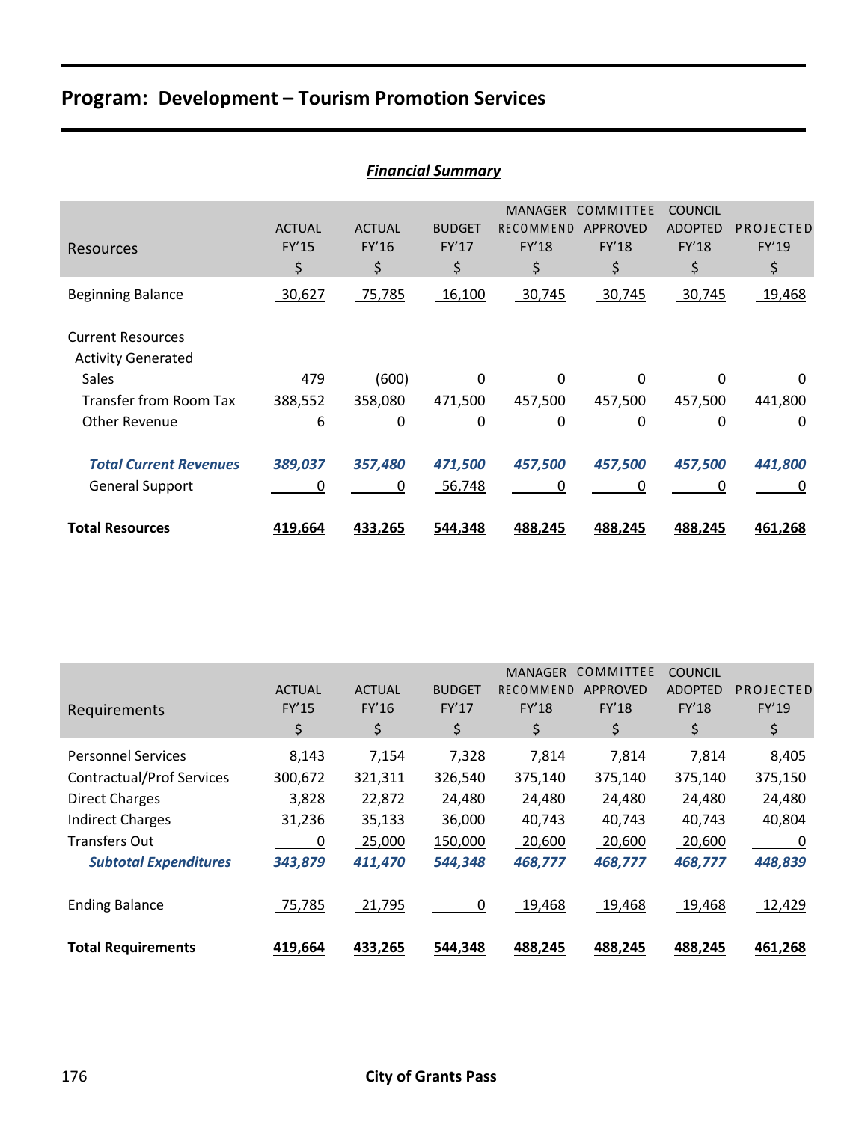|                                                       |                              |                              | <b>Financial Summary</b>     |                                                   |                                             |                                                        |                          |
|-------------------------------------------------------|------------------------------|------------------------------|------------------------------|---------------------------------------------------|---------------------------------------------|--------------------------------------------------------|--------------------------|
| Resources                                             | <b>ACTUAL</b><br>FY'15<br>\$ | <b>ACTUAL</b><br>FY'16<br>\$ | <b>BUDGET</b><br>FY'17<br>\$ | <b>MANAGER</b><br>RECOMMEND<br><b>FY'18</b><br>\$ | COMMITTEE<br><b>APPROVED</b><br>FY'18<br>\$ | <b>COUNCIL</b><br><b>ADOPTED</b><br><b>FY'18</b><br>\$ | PROJECTED<br>FY'19<br>\$ |
| <b>Beginning Balance</b>                              | 30,627                       | 75,785                       | 16,100                       | 30,745                                            | 30,745                                      | 30,745                                                 | 19,468                   |
| <b>Current Resources</b><br><b>Activity Generated</b> |                              |                              |                              |                                                   |                                             |                                                        |                          |
| Sales                                                 | 479                          | (600)                        | $\Omega$                     | $\Omega$                                          | $\Omega$                                    | 0                                                      | 0                        |
| <b>Transfer from Room Tax</b>                         | 388,552                      | 358,080                      | 471,500                      | 457,500                                           | 457,500                                     | 457,500                                                | 441,800                  |
| <b>Other Revenue</b>                                  | 6                            | 0                            | 0                            | 0                                                 | 0                                           | 0                                                      | 0                        |
| <b>Total Current Revenues</b>                         | 389,037                      | 357,480                      | 471,500                      | 457,500                                           | 457,500                                     | 457,500                                                | 441,800                  |
| <b>General Support</b>                                | 0                            | 0                            | 56,748                       | 0                                                 | 0                                           | 0                                                      | 0                        |
| <b>Total Resources</b>                                | 419,664                      | 433,265                      | 544,348                      | 488,245                                           | 488,245                                     | 488,245                                                | 461,268                  |

|                                  |               |               |               | <b>MANAGER</b>   | COMMITTEE       | <b>COUNCIL</b> |           |
|----------------------------------|---------------|---------------|---------------|------------------|-----------------|----------------|-----------|
|                                  | <b>ACTUAL</b> | <b>ACTUAL</b> | <b>BUDGET</b> | <b>RECOMMEND</b> | <b>APPROVED</b> | <b>ADOPTED</b> | PROJECTED |
| Requirements                     | <b>FY'15</b>  | FY'16         | FY'17         | <b>FY'18</b>     | <b>FY'18</b>    | <b>FY'18</b>   | FY'19     |
|                                  | \$            | \$            | \$            | \$               | \$              | \$             | \$        |
| <b>Personnel Services</b>        | 8,143         | 7,154         | 7,328         | 7,814            | 7,814           | 7,814          | 8,405     |
| <b>Contractual/Prof Services</b> | 300,672       | 321,311       | 326,540       | 375,140          | 375,140         | 375,140        | 375,150   |
| <b>Direct Charges</b>            | 3,828         | 22,872        | 24,480        | 24,480           | 24,480          | 24,480         | 24,480    |
| <b>Indirect Charges</b>          | 31,236        | 35,133        | 36,000        | 40,743           | 40,743          | 40,743         | 40,804    |
| <b>Transfers Out</b>             | 0             | 25,000        | 150,000       | 20,600           | 20,600          | 20,600         | 0         |
| <b>Subtotal Expenditures</b>     | 343,879       | 411,470       | 544,348       | 468,777          | 468,777         | 468,777        | 448,839   |
| <b>Ending Balance</b>            | 75,785        | 21,795        | $\Omega$      | 19,468           | 19,468          | 19,468         | 12,429    |
| <b>Total Requirements</b>        | 419,664       | 433,265       | 544,348       | 488,245          | 488,245         | 488,245        | 461,268   |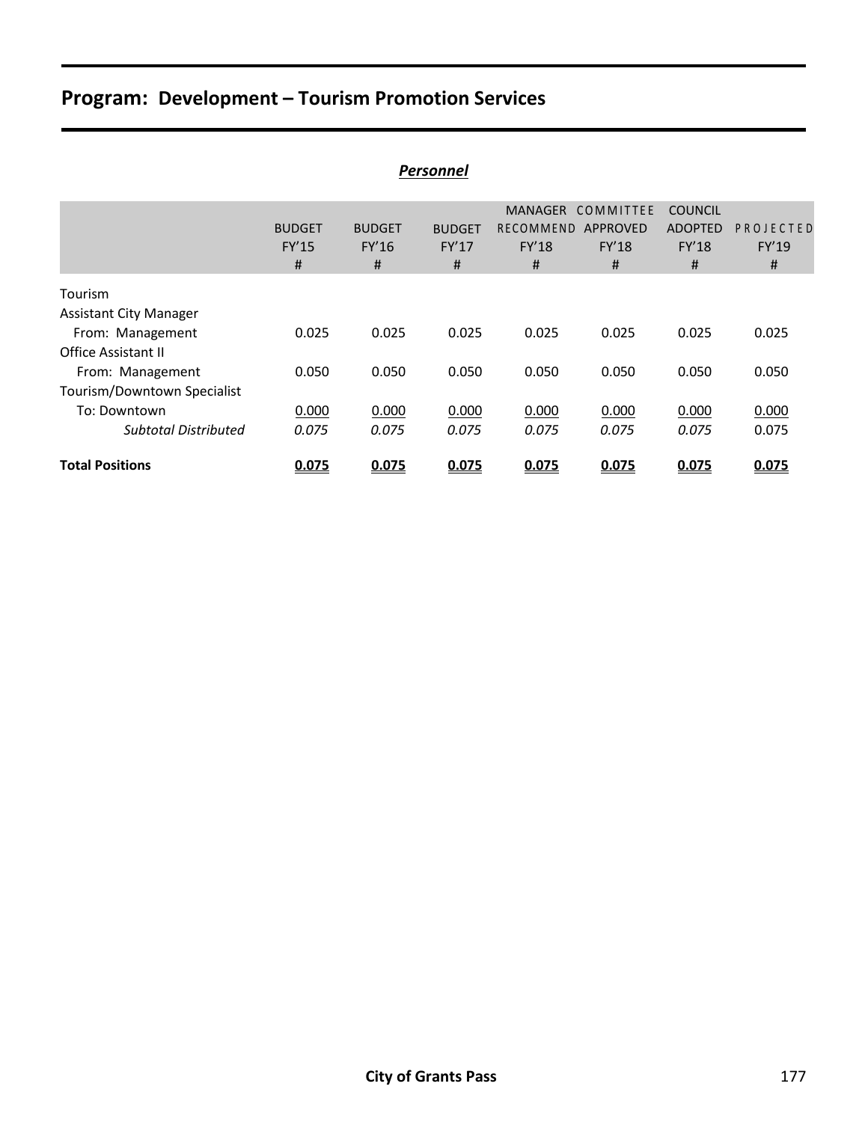|                                                 |                                    |                             | <b>Personnel</b>            |                                           |                                            |                                                       |                         |
|-------------------------------------------------|------------------------------------|-----------------------------|-----------------------------|-------------------------------------------|--------------------------------------------|-------------------------------------------------------|-------------------------|
|                                                 | <b>BUDGET</b><br><b>FY'15</b><br># | <b>BUDGET</b><br>FY'16<br># | <b>BUDGET</b><br>FY'17<br># | MANAGER<br>RECOMMEND<br><b>FY'18</b><br># | COMMITTEE<br>APPROVED<br><b>FY'18</b><br># | <b>COUNCIL</b><br><b>ADOPTED</b><br><b>FY'18</b><br># | PROJECTED<br>FY'19<br># |
| Tourism<br><b>Assistant City Manager</b>        |                                    |                             |                             |                                           |                                            |                                                       |                         |
| From: Management<br>Office Assistant II         | 0.025                              | 0.025                       | 0.025                       | 0.025                                     | 0.025                                      | 0.025                                                 | 0.025                   |
| From: Management<br>Tourism/Downtown Specialist | 0.050                              | 0.050                       | 0.050                       | 0.050                                     | 0.050                                      | 0.050                                                 | 0.050                   |
| To: Downtown<br><b>Subtotal Distributed</b>     | 0.000<br>0.075                     | 0.000<br>0.075              | 0.000<br>0.075              | 0.000<br>0.075                            | 0.000<br>0.075                             | 0.000<br>0.075                                        | 0.000<br>0.075          |
| <b>Total Positions</b>                          | 0.075                              | 0.075                       | 0.075                       | 0.075                                     | 0.075                                      | 0.075                                                 | 0.075                   |